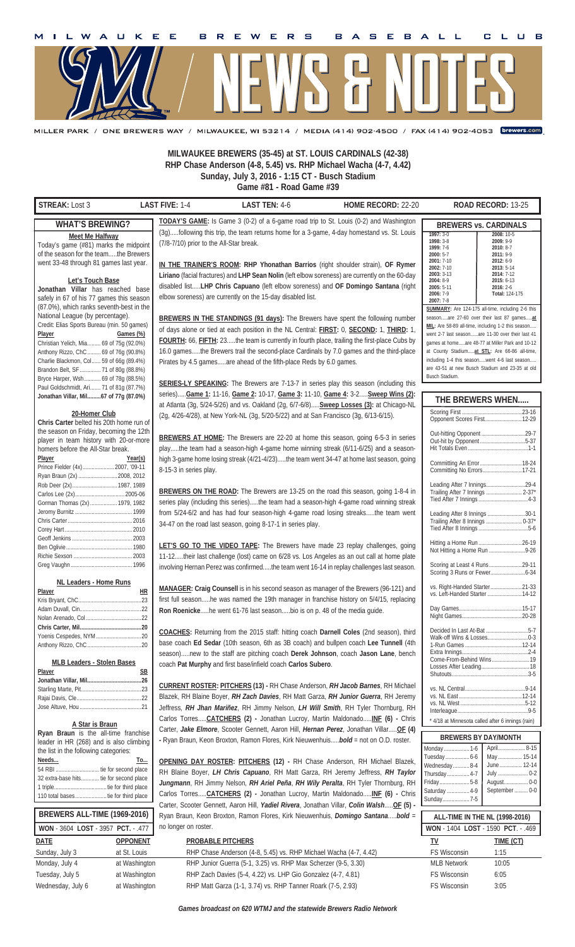

.<br>MILLER PARK / ONE BREWERS WAY / MILWAUKEE, WI 53214 / MEDIA (414) 902-4500 / FAX (414) 902-4053 【Drewers.com】

**MILWAUKEE BREWERS (35-45) at ST. LOUIS CARDINALS (42-38) RHP Chase Anderson (4-8, 5.45) vs. RHP Michael Wacha (4-7, 4.42) Sunday, July 3, 2016 - 1:15 CT - Busch Stadium Game #81 - Road Game #39**

**STREAK:** Lost 3 **LAST FIVE:** 1-4 **LAST TEN:** 4-6 **HOME RECORD:** 22-20 **ROAD RECORD:** 13-25 **ALL-TIME IN THE NL (1998-2016) WON** - 1404 **LOST** - 1590 **PCT**. - .469 **BREWERS ALL-TIME (1969-2016) WON** - 3604 **LOST** - 3957 **PCT.** - .477 Monday .................1-6 Tuesday ................6-6 Wednesday ...........8-4 Thursday ...............4-7 Friday ....................5-8 Saturday ...............4-9 Sunday ..................7-5 April .................. 8-15 May ................ 15-14 June ............... 12-14 July .................... 0-2 August ................ 0-0 September ......... 0-0 **BREWERS BY DAY/MONTH THE BREWERS WHEN.**  Scoring First ........................................23-16 Opponent Scores First.........................12-29 Out-hitting Opponent .............................29-7 Out-hit by Opponent ..............................5-37 Hit Totals Even ........................................1-1 Committing An Error ............................18-24 Committing No Errors... Leading After 7 Innings..........................29-4 Trailing After 7 Innings ........................ 2-37\* Tied After 7 Innings .................................4-3 Leading After 8 Innings .........................30-1 Trailing After 8 Innings ........................ 0-37\* Tied After 8 Innings .................................5-6 ng a Home Run ...............................26-19 Not Hitting a Home Run ........................9-26 Scoring at Least 4 Runs ......................29-11 Scoring 3 Runs or Fewer .......................6-34 vs. Right-Handed Starter .....................21-33 vs. Left-Handed Starter .......................14-12 Day Games ..........................................15-17 Day Games........<br>Night Games....... Decided In Last At-Bat ............................5-7 Walk-off Wins & Losses ...........................0-3 1-Run Games ......................................12-14 Extra Innings ............................................2-4 Come-From-Behind Wins .........................19 Losses After Leading ................................18 Shutouts. vs. NL Central ........................................9-14 vs. NL East ..........................................12-14 vs. NL West ...........................................5-12 Interleague.... \* 4/18 at Minnesota called after 6 innings (rain) **WHAT'S BREWING? Meet Me Halfway** Today's game (#81) marks the midpoint of the season for the team.....the Brewers went 33-48 through 81 games last year. **Let's Touch Base Jonathan Villar** has reached base safely in 67 of his 77 games this season (87.0%), which ranks seventh-best in the National League (by percentage). Credit: Elias Sports Bureau (min. 50 games) **Player Games (%)** Christian Yelich, Mia ......... 69 of 75g (92.0%) Anthony Rizzo, ChC ......... 69 of 76g (90.8%) Charlie Blackmon, Col ...... 59 of 66g (89.4%)<br>Brandon Belt. SF .............. 71 of 80g (88.8%)  $71$  of 80g (88.8%) Bryce Harper, Wsh ........... 69 of 78g (88.5%) Paul Goldschmidt, Ari ....... 71 of 81g (87.7%) **Jonathan Villar, Mil .........67 of 77g (87.0%) 20-Homer Club Chris Carter** belted his 20th home run of the season on Friday, becoming the 12th player in team history with 20-or-more homers before the All-Star break. **Player** Year(s)<br>
Prince Fielder (4x)...................... 2007, '09-11 Prince Fielder (4x) .....................2007, '09-11 Ryan Braun (2x) ..... Rob Deer (2x) ..............................1987, 1989 Carlos Lee (2x) .................................2005-06 Gorman Thomas (2x)... Jeromy Burnitz ...................................... 1999 Chris Carter ........................................... 2016 Corey Hart ............................................. 2010 Geoff Jenkins ........................................ 2003 Ben Oglivie .... Richie Sexson ....................................... 2003 Greg Vaughn ......................................... 1996 **NL Leaders - Home Runs Player HR** Kris Bryant, ChC ..........................................23 Adam Duvall, Cin .........................................22 Nolan Arenado, Col .....................................22 **Chris Carter, Mil .........................................20** Yoenis Cespedes, NYM ..............................20 Anthony Rizzo, ChC ....................................20 **MLB Leaders - Stolen Bases Player SB Jonathan Villar, Mil ....................................26** Starling Marte, Pit ........................................23 Rajai Davis, Cle ... Jose Altuve, Hou .........................................21 **A Star is Braun Ryan Braun** is the all-time franchise leader in HR (268) and is also climbing the list in the following categories: **Needs... To...** 54 RBI ............................. tie for second place 32 extra-base hits ............ tie for second place 1 triple ...................................tie for third place 110 total bases .....................tie for third place **TODAY'S GAME:** Is Game 3 (0-2) of a 6-game road trip to St. Louis (0-2) and Washington (3g).....following this trip, the team returns home for a 3-game, 4-day homestand vs. St. Louis (7/8-7/10) prior to the All-Star break. **IN THE TRAINER'S ROOM: RHP Yhonathan Barrios** (right shoulder strain), **OF Rymer Liriano** (facial fractures) and **LHP Sean Nolin** (left elbow soreness) are currently on the 60-day disabled list.....**LHP Chris Capuano** (left elbow soreness) and **OF Domingo Santana** (right elbow soreness) are currently on the 15-day disabled list. **BREWERS IN THE STANDINGS (91 days):** The Brewers have spent the following number of days alone or tied at each position in the NL Central: **FIRST:** 0, **SECOND:** 1, **THIRD:** 1, **FOURTH:** 66, **FIFTH:** 23.....the team is currently in fourth place, trailing the first-place Cubs by 16.0 games.....the Brewers trail the second-place Cardinals by 7.0 games and the third-place Pirates by 4.5 games.....are ahead of the fifth-place Reds by 6.0 games. SERIES-LY SPEAKING: The Brewers are 7-13-7 in series play this season (including this series).....**Game 1:** 11-16, **Game 2:** 10-17, **Game 3:** 11-10, **Game 4:** 3-2.....**Sweep Wins (2):**  at Atlanta (3g, 5/24-5/26) and vs. Oakland (2g, 6/7-6/8).....**Sweep Losses (3):** at Chicago-NL (2g, 4/26-4/28), at New York-NL (3g, 5/20-5/22) and at San Francisco (3g, 6/13-6/15). **BREWERS AT HOME:** The Brewers are 22-20 at home this season, going 6-5-3 in series play.....the team had a season-high 4-game home winning streak (6/11-6/25) and a seasonhigh 3-game home losing streak (4/21-4/23).....the team went 34-47 at home last season, going 8-15-3 in series play. **BREWERS ON THE ROAD:** The Brewers are 13-25 on the road this season, going 1-8-4 in series play (including this series).....the team had a season-high 4-game road winning streak from 5/24-6/2 and has had four season-high 4-game road losing streaks.....the team went 34-47 on the road last season, going 8-17-1 in series play. **LET'S GO TO THE VIDEO TAPE:** The Brewers have made 23 replay challenges, going 11-12.....their last challenge (lost) came on 6/28 vs. Los Angeles as an out call at home plate involving Hernan Perez was confirmed.....the team went 16-14 in replay challenges last season. **MANAGER: Craig Counsell** is in his second season as manager of the Brewers (96-121) and first full season.....he was named the 19th manager in franchise history on 5/4/15, replacing **Ron Roenicke**.....he went 61-76 last season.....bio is on p. 48 of the media guide. **COACHES:** Returning from the 2015 staff: hitting coach **Darnell Coles** (2nd season), third base coach **Ed Sedar** (10th season, 6th as 3B coach) and bullpen coach **Lee Tunnell** (4th season).....new to the staff are pitching coach **Derek Johnson**, coach **Jason Lane**, bench coach **Pat Murphy** and first base/infield coach **Carlos Subero**. **CURRENT ROSTER: PITCHERS (13) -** RH Chase Anderson, *RH Jacob Barnes*, RH Michael Blazek, RH Blaine Boyer, *RH Zach Davies*, RH Matt Garza, *RH Junior Guerra*, RH Jeremy Jeffress, *RH Jhan Mariñez*, RH Jimmy Nelson, *LH Will Smith*, RH Tyler Thornburg, RH Carlos Torres.....**CATCHERS (2) -** Jonathan Lucroy, Martin Maldonado.....**INF (6) -** Chris Carter, *Jake Elmore*, Scooter Gennett, Aaron Hill, *Hernan Perez*, Jonathan Villar.....**OF (4) -** Ryan Braun, Keon Broxton, Ramon Flores, Kirk Nieuwenhuis.....*bold* = not on O.D. roster. **OPENING DAY ROSTER: PITCHERS (12) -** RH Chase Anderson, RH Michael Blazek, RH Blaine Boyer, *LH Chris Capuano*, RH Matt Garza, RH Jeremy Jeffress, *RH Taylor Jungmann*, RH Jimmy Nelson, *RH Ariel Peña*, *RH Wily Peralta*, RH Tyler Thornburg, RH Carlos Torres.....**CATCHERS (2) -** Jonathan Lucroy, Martin Maldonado.....**INF (6) -** Chris Carter, Scooter Gennett, Aaron Hill, *Yadiel Rivera*, Jonathan Villar, *Colin Walsh*.....**OF (5) -** Ryan Braun, Keon Broxton, Ramon Flores, Kirk Nieuwenhuis, *Domingo Santana*.....*bold* = no longer on roster. **DATE OPPONENT PROBABLE PITCHERS TV TIME (CT)** Sunday, July 3 at St. Louis RHP Chase Anderson (4-8, 5.45) vs. RHP Michael Wacha (4-7, 4.42) FS Wisconsin 1:15  **1997:** 3-0  **1998:** 3-8  **1999:** 7-6  **2000:** 5-7  **2001:** 7-10  **2002:** 7-10  **2003:** 3-13  **2004:** 8-9  **2005:** 5-11 **2006:** 7-9 **2007:** 7-8 **2008:** 10-5 **2009:** 9-9 **2010:** 8-7 **2011:** 9-9 **2012:** 6-9 **2013:** 5-14 **2014:** 7-12 **2015:** 6-13 **2016:** 2-6 **Total:** 124-175 **BREWERS vs. CARDINALS SUMMARY:** Are 124-175 all-time, including 2-6 this season.....are 27-60 over their last 87 games.....**at**  MIL: Are 58-89 all-time, including 1-2 this season. went 2-7 last season......are 11-30 over their last 41 games at home.....are 48-77 at Miller Park and 10-12 at County Stadium.....**at STL:** Are 66-86 all-time, including 1-4 this season.....went 4-6 last season..... are 43-51 at new Busch Stadium and 23-35 at old Busch Stadium.

*Games broadcast on 620 WTMJ and the statewide Brewers Radio Network*

Monday, July 4 at Washington RHP Junior Guerra (5-1, 3.25) vs. RHP Max Scherzer (9-5, 3.30) MLB Network 10:05 Tuesday, July 5 at Washington RHP Zach Davies (5-4, 4.22) vs. LHP Gio Gonzalez (4-7, 4.81) FS Wisconsin 6:05 Wednesday, July 6 at Washington RHP Matt Garza (1-1, 3.74) vs. RHP Tanner Roark (7-5, 2.93) FS Wisconsin 3:05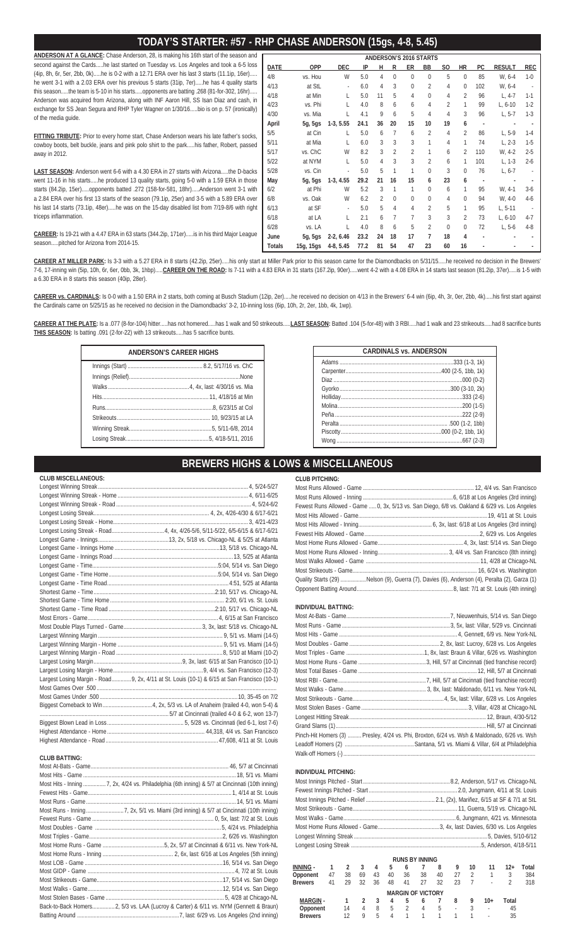# **TODAY'S STARTER: #57 - RHP CHASE ANDERSON (15gs, 4-8, 5.45)**

**ANDERSON AT A GLANCE:** Chase Anderson, 28, is making his 16th start of the season and second against the Cards.....he last started on Tuesday vs. Los Angeles and took a 6-5 loss (4ip, 8h, 6r, 5er, 2bb, 0k).....he is 0-2 with a 12.71 ERA over his last 3 starts (11.1ip, 16er)..... he went 3-1 with a 2.03 ERA over his previous 5 starts (31ip, 7er).....he has 4 quality starts this season.....the team is 5-10 in his starts.....opponents are batting .268 (81-for-302, 16hr)..... Anderson was acquired from Arizona, along with INF Aaron Hill, SS Isan Diaz and cash, in exchange for SS Jean Segura and RHP Tyler Wagner on 1/30/16.....bio is on p. 57 (ironically) of the media guide.

**FITTING TRIBUTE:** Prior to every home start, Chase Anderson wears his late father's socks, cowboy boots, belt buckle, jeans and pink polo shirt to the park.....his father, Robert, passed away in 2012.

**LAST SEASON:** Anderson went 6-6 with a 4.30 ERA in 27 starts with Arizona.....the D-backs went 11-16 in his starts.....he produced 13 quality starts, going 5-0 with a 1.59 ERA in those starts (84.2ip, 15er).....opponents batted .272 (158-for-581, 18hr).....Anderson went 3-1 with a 2.84 ERA over his first 13 starts of the season (79.1ip, 25er) and 3-5 with a 5.89 ERA over his last 14 starts (73.1ip, 48er).....he was on the 15-day disabled list from 7/19-8/6 with right triceps inflammation.

**CAREER:** Is 19-21 with a 4.47 ERA in 63 starts (344.2ip, 171er).....is in his third Major League season.....pitched for Arizona from 2014-15.

**CAREER AT MILLER PARK:** Is 3-3 with a 5.27 ERA in 8 starts (42.2ip, 25er).....his only start at Miller Park prior to this season came for the Diamondbacks on 5/31/15.....he received no decision in the Brewers' 7-6, 17-inning win (5ip, 10h, 6r, 6er, 0bb, 3k, 1hbp).....**CAREER ON THE ROAD:** Is 7-11 with a 4.83 ERA in 31 starts (167.2ip, 90er).....went 4-2 with a 4.08 ERA in 14 starts last season (81.2ip, 37er).....is 1-5 with a 6.30 ERA in 8 starts this season (40ip, 28er).

**CAREER vs. CARDINALS:** Is 0-0 with a 1.50 ERA in 2 starts, both coming at Busch Stadium (12ip, 2er).....he received no decision on 4/13 in the Brewers' 6-4 win (6ip, 4h, 3r, 0er, 2bb, 4k).....his first start against the Cardinals came on 5/25/15 as he received no decision in the Diamondbacks' 3-2, 10-inning loss (6ip, 10h, 2r, 2er, 1bb, 4k, 1wp).

CAREER AT THE PLATE: Is a .077 (8-for-104) hitter.....has not homered.....has 1 walk and 50 strikeouts.....LAST SEASON: Batted .104 (5-for-48) with 3 RBI.....had 1 walk and 23 strikeouts.....had 8 sacrifice bunts **THIS SEASON:** Is batting .091 (2-for-22) with 13 strikeouts.....has 5 sacrifice bunts.

| <b>ANDERSON'S CAREER HIGHS</b> |  |  |  |  |  |  |  |
|--------------------------------|--|--|--|--|--|--|--|
|                                |  |  |  |  |  |  |  |
|                                |  |  |  |  |  |  |  |
|                                |  |  |  |  |  |  |  |
|                                |  |  |  |  |  |  |  |
|                                |  |  |  |  |  |  |  |
|                                |  |  |  |  |  |  |  |
|                                |  |  |  |  |  |  |  |
|                                |  |  |  |  |  |  |  |

| <b>CARDINALS vs. ANDERSON</b> |  |  |  |  |  |  |
|-------------------------------|--|--|--|--|--|--|
| .333 (1-3, 1k)                |  |  |  |  |  |  |
|                               |  |  |  |  |  |  |
| $.000(0-2)$                   |  |  |  |  |  |  |
| $.300(3-10, 2k)$              |  |  |  |  |  |  |
| $.333(2-6)$                   |  |  |  |  |  |  |
| $.200(1-5)$                   |  |  |  |  |  |  |
| $.222(2-9)$                   |  |  |  |  |  |  |
| $.500(1-2.1bb)$               |  |  |  |  |  |  |
|                               |  |  |  |  |  |  |
|                               |  |  |  |  |  |  |

**ANDERSON'S 2016 STARTS DATE OPP DEC IP H R ER BB SO HR PC RESULT REC** 4/8 vs. Hou W 5.0 4 0 0 0 5 0 85 W, 6-4 1-0 4/13 at StL - 6.0 4 3 0 2 4 0 102 W, 6-4 - 4/18 at Min L 5.0 11 5 4 0 4 2 96 L, 4-7 1-1 4/23 vs. Phi L 4.0 8 6 6 4 2 1 99 L, 6-10 1-2 4/30 vs. Mia L 4.1 9 6 5 4 4 3 96 L, 5-7 1-3 **April 5g, 5gs 1-3, 5.55 24.1 36 20 15 10 19 6 - - -** 5/5 at Cin L 5.0 6 7 6 2 4 2 86 L, 5-9 1-4 5/11 at Mia L 6.0 3 3 3 1 4 1 74 L, 2-3 1-5 5/17 vs. ChC W 8.2 3 2 2 1 6 2 110 W, 4-2 2-5 5/22 at NYM L 5.0 4 3 3 2 6 1 101 L, 1-3 2-6 5/28 vs. Cin - 5.0 5 1 1 0 3 0 76 L, 6-7 -

6/2 at Phi W 5.2 3 1 1 0 6 1 95 W, 4-1 3-6 6/8 vs. Oak W 6.2 2 0 0 0 4 0 94 W, 4-0 4-6 6/13 at SF - 5.0 5 4 4 2 5 1 95 L, 5-11 - 6/18 at LA L 2.1 6 7 7 3 3 2 73 L, 6-10 4-7 6/28 vs. LA L 4.0 8 6 5 2 0 0 72 L, 5-6 4-8

May 5g, 5gs 1-3, 4.55 29.2 21 16 15 6 23 6

June 5g, 5gs 2-2, 6.46 23.2 24 18 17 7 18 4 Totals 15g, 15gs 4-8, 5.45 77.2 81 54 47 23 60 16

**BREWERS HIGHS & LOWS & MISCELLANEOUS**

|  | Largest Losing Margin - Road9, 2x, 4/11 at St. Louis (10-1) & 6/15 at San Francisco (10-1) |
|--|--------------------------------------------------------------------------------------------|
|  |                                                                                            |
|  |                                                                                            |
|  |                                                                                            |
|  |                                                                                            |
|  |                                                                                            |
|  |                                                                                            |
|  |                                                                                            |

### **CLUB BATTING:**

 **CLUB MISCELLANEOUS:**

|  | Back-to-Back Homers 2, 5/3 vs. LAA (Lucroy & Carter) & 6/11 vs. NYM (Gennett & Braun) |
|--|---------------------------------------------------------------------------------------|
|  |                                                                                       |

| <b>CLUB PITCHING:</b>                                                                         |  |
|-----------------------------------------------------------------------------------------------|--|
|                                                                                               |  |
|                                                                                               |  |
| Fewest Runs Allowed - Game  0, 3x, 5/13 vs. San Diego, 6/8 vs. Oakland & 6/29 vs. Los Angeles |  |
|                                                                                               |  |
|                                                                                               |  |
|                                                                                               |  |
|                                                                                               |  |
|                                                                                               |  |
|                                                                                               |  |
|                                                                                               |  |
| Quality Starts (29) Nelson (9), Guerra (7), Davies (6), Anderson (4), Peralta (2), Garza (1)  |  |
|                                                                                               |  |

### **INDIVIDUAL BATTING:**

| INDIVIDUAL BATTING: |                                                                                              |
|---------------------|----------------------------------------------------------------------------------------------|
|                     |                                                                                              |
|                     |                                                                                              |
|                     |                                                                                              |
|                     |                                                                                              |
|                     |                                                                                              |
|                     |                                                                                              |
|                     |                                                                                              |
|                     |                                                                                              |
|                     |                                                                                              |
|                     |                                                                                              |
|                     |                                                                                              |
|                     |                                                                                              |
|                     |                                                                                              |
|                     | Pinch-Hit Homers (3)  Presley, 4/24 vs. Phi, Broxton, 6/24 vs. Wsh & Maldonado, 6/26 vs. Wsh |
|                     |                                                                                              |
|                     |                                                                                              |

## **INDIVIDUAL PITCHING:**

| <b>INDIVIDUAL FILGUING.</b> |    |                |                |    |    |                |                          |    |    |                |              |                |       |  |  |
|-----------------------------|----|----------------|----------------|----|----|----------------|--------------------------|----|----|----------------|--------------|----------------|-------|--|--|
|                             |    |                |                |    |    |                |                          |    |    |                |              |                |       |  |  |
|                             |    |                |                |    |    |                |                          |    |    |                |              |                |       |  |  |
|                             |    |                |                |    |    |                |                          |    |    |                |              |                |       |  |  |
|                             |    |                |                |    |    |                |                          |    |    |                |              |                |       |  |  |
|                             |    |                |                |    |    |                |                          |    |    |                |              |                |       |  |  |
|                             |    |                |                |    |    |                |                          |    |    |                |              |                |       |  |  |
|                             |    |                |                |    |    |                |                          |    |    |                |              |                |       |  |  |
|                             |    |                |                |    |    |                |                          |    |    |                |              |                |       |  |  |
|                             |    |                |                |    |    |                | <b>RUNS BY INNING</b>    |    |    |                |              |                |       |  |  |
| <b>INNING -</b>             | 1  | $\mathfrak{p}$ | 3              | 4  | 5  | 6              | 7                        | 8  | 9  | 10             | 11           | $12+$          | Total |  |  |
| Opponent                    | 47 | 38             | 69             | 43 | 40 | 36             | 38                       | 40 | 27 | $\mathfrak{D}$ | $\mathbf{1}$ | 3              | 384   |  |  |
| <b>Brewers</b>              | 41 | 29             | 32             | 36 | 48 | 41             | 27                       | 32 | 23 | 7              |              | $\mathfrak{D}$ | 318   |  |  |
|                             |    |                |                |    |    |                | <b>MARGIN OF VICTORY</b> |    |    |                |              |                |       |  |  |
| <b>MARGIN-</b>              |    | 1              | $\mathfrak{p}$ | 3  | 4  | 5              | 6                        | 7  | 8  | 9              | $10+$        | Total          |       |  |  |
| Opponent                    |    | 14             | 4              | 8  | 5  | $\overline{2}$ | 4                        | 5  |    | 3              | ÷,           | 45             |       |  |  |
| <b>Brewers</b>              |    | 12             | 9              | 5  | 4  | 1              |                          |    | 1  | 1              |              | 35             |       |  |  |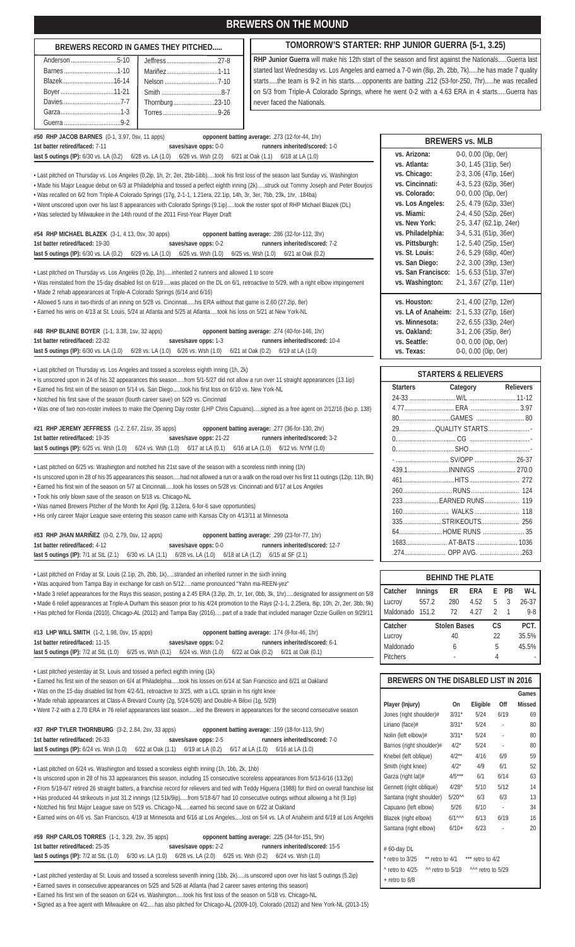|                                                                                                                                                                                                                                                                                                                                                                                                                                                                                                                                                                                                                                                                                                                                                                                                                                                                                                                                                                                                                                                                                                                                                                                                                                                                                                                                                                                                                                                                                                                                                                                                               | <b>BREWERS ON THE MOUND</b>                                                                                        |                                                                                                                                                                                                                                                                                                                                                                                                                                                                                                                                                                                                                                                                                                                       |  |  |  |  |  |  |  |  |
|---------------------------------------------------------------------------------------------------------------------------------------------------------------------------------------------------------------------------------------------------------------------------------------------------------------------------------------------------------------------------------------------------------------------------------------------------------------------------------------------------------------------------------------------------------------------------------------------------------------------------------------------------------------------------------------------------------------------------------------------------------------------------------------------------------------------------------------------------------------------------------------------------------------------------------------------------------------------------------------------------------------------------------------------------------------------------------------------------------------------------------------------------------------------------------------------------------------------------------------------------------------------------------------------------------------------------------------------------------------------------------------------------------------------------------------------------------------------------------------------------------------------------------------------------------------------------------------------------------------|--------------------------------------------------------------------------------------------------------------------|-----------------------------------------------------------------------------------------------------------------------------------------------------------------------------------------------------------------------------------------------------------------------------------------------------------------------------------------------------------------------------------------------------------------------------------------------------------------------------------------------------------------------------------------------------------------------------------------------------------------------------------------------------------------------------------------------------------------------|--|--|--|--|--|--|--|--|
| BREWERS RECORD IN GAMES THEY PITCHED                                                                                                                                                                                                                                                                                                                                                                                                                                                                                                                                                                                                                                                                                                                                                                                                                                                                                                                                                                                                                                                                                                                                                                                                                                                                                                                                                                                                                                                                                                                                                                          |                                                                                                                    | TOMORROW'S STARTER: RHP JUNIOR GUERRA (5-1, 3.25)                                                                                                                                                                                                                                                                                                                                                                                                                                                                                                                                                                                                                                                                     |  |  |  |  |  |  |  |  |
| RHP Junior Guerra will make his 12th start of the season and first against the NationalsGuerra last<br>started last Wednesday vs. Los Angeles and earned a 7-0 win (8ip, 2h, 2bb, 7k)he has made 7 quality<br>Mariñez1-11<br>startsthe team is 9-2 in his startsopponents are batting .212 (53-for-250, 7hr)he was recalled<br>Boyer11-21<br>on 5/3 from Triple-A Colorado Springs, where he went 0-2 with a 4.63 ERA in 4 startsGuerra has<br>Thornburg23-10<br>never faced the Nationals.                                                                                                                                                                                                                                                                                                                                                                                                                                                                                                                                                                                                                                                                                                                                                                                                                                                                                                                                                                                                                                                                                                                   |                                                                                                                    |                                                                                                                                                                                                                                                                                                                                                                                                                                                                                                                                                                                                                                                                                                                       |  |  |  |  |  |  |  |  |
| #50 RHP JACOB BARNES (0-1, 3.97, 0sv, 11 apps)                                                                                                                                                                                                                                                                                                                                                                                                                                                                                                                                                                                                                                                                                                                                                                                                                                                                                                                                                                                                                                                                                                                                                                                                                                                                                                                                                                                                                                                                                                                                                                | opponent batting average: .273 (12-for-44, 1hr)                                                                    | <b>BREWERS vs. MLB</b>                                                                                                                                                                                                                                                                                                                                                                                                                                                                                                                                                                                                                                                                                                |  |  |  |  |  |  |  |  |
| saves/save opps: 0-0<br>1st batter retired/faced: 7-11<br>last 5 outings (IP): 6/30 vs. LA (0.2) 6/28 vs. LA (1.0) 6/26 vs. Wsh (2.0) 6/21 at Oak (1.1) 6/18 at LA (1.0)<br>· Last pitched on Thursday vs. Los Angeles (0.2ip, 1h, 2r, 2er, 2bb-1ibb)took his first loss of the season last Sunday vs. Washington<br>• Made his Major League debut on 6/3 at Philadelphia and tossed a perfect eighth inning (2k)struck out Tommy Joseph and Peter Bourjos<br>· Was recalled on 6/2 from Triple-A Colorado Springs (17g, 2-1-1, 1.21era, 22.1ip, 14h, 3r, 3er, 7bb, 23k, 1hr, .184ba)<br>. Went unscored upon over his last 8 appearances with Colorado Springs (9.1ip)took the roster spot of RHP Michael Blazek (DL)<br>• Was selected by Milwaukee in the 14th round of the 2011 First-Year Player Draft<br>#54 RHP MICHAEL BLAZEK (3-1, 4.13, 0sv, 30 apps)<br>1st batter retired/faced: 19-30<br>saves/save opps: 0-2<br>last 5 outings (IP): 6/30 vs. LA (0.2) 6/29 vs. LA (1.0) 6/26 vs. Wsh (1.0) 6/25 vs. Wsh (1.0) 6/21 at Oak (0.2)<br>Last pitched on Thursday vs. Los Angeles (0.2ip, 1h)inherited 2 runners and allowed 1 to score<br>• Was reinstated from the 15-day disabled list on 6/19was placed on the DL on 6/1, retroactive to 5/29, with a right elbow impingement<br>· Made 2 rehab appearances at Triple-A Colorado Springs (6/14 and 6/16)<br>+ Allowed 5 runs in two-thirds of an inning on 5/28 vs. Cincinnatihis ERA without that game is 2.60 (27.2ip, 8er)<br>• Earned his wins on 4/13 at St. Louis, 5/24 at Atlanta and 5/25 at Atlantatook his loss on 5/21 at New York-NL | runners inherited/scored: 1-0<br>opponent batting average: .286 (32-for-112, 3hr)<br>runners inherited/scored: 7-2 | vs. Arizona:<br>0-0, 0.00 (0ip, 0er)<br>vs. Atlanta:<br>3-0, 1.45 (31ip, 5er)<br>vs. Chicago:<br>2-3, 3.06 (47ip, 16er)<br>vs. Cincinnati:<br>4-3, 5.23 (62ip, 36er)<br>vs. Colorado:<br>0-0, 0.00 (0ip, 0er)<br>vs. Los Angeles:<br>2-5, 4.79 (62ip, 33er)<br>vs. Miami:<br>2-4, 4.50 (52ip, 26er)<br>vs. New York:<br>2-5, 3.47 (62.1ip, 24er)<br>3-4, 5.31 (61ip, 36er)<br>vs. Philadelphia:<br>1-2, 5.40 (25ip, 15er)<br>vs. Pittsburgh:<br>vs. St. Louis:<br>2-6, 5.29 (68ip, 40er)<br>vs. San Diego:<br>2-2, 3.00 (39ip, 13er)<br>vs. San Francisco: 1-5, 6.53 (51ip, 37er)<br>vs. Washington:<br>2-1, 3.67 (27ip, 11er)<br>2-1, 4.00 (27ip, 12er)<br>vs. Houston:<br>vs. LA of Anaheim: 2-1, 5.33 (27ip, 16er) |  |  |  |  |  |  |  |  |
| #48 RHP BLAINE BOYER (1-1, 3.38, 1sv, 32 apps)<br>saves/save opps: 1-3<br>1st batter retired/faced: 22-32<br>last 5 outings (IP): 6/30 vs. LA (1.0) 6/28 vs. LA (1.0) 6/26 vs. Wsh (1.0) 6/21 at Oak (0.2) 6/19 at LA (1.0)                                                                                                                                                                                                                                                                                                                                                                                                                                                                                                                                                                                                                                                                                                                                                                                                                                                                                                                                                                                                                                                                                                                                                                                                                                                                                                                                                                                   | opponent batting average: .274 (40-for-146, 1hr)<br>runners inherited/scored: 10-4                                 | vs. Minnesota:<br>2-2, 6.55 (33ip, 24er)<br>3-1, 2.06 (35ip, 8er)<br>vs. Oakland:<br>vs. Seattle:<br>0-0, 0.00 (0ip, 0er)<br>vs. Texas:<br>0-0, 0.00 (0ip, 0er)                                                                                                                                                                                                                                                                                                                                                                                                                                                                                                                                                       |  |  |  |  |  |  |  |  |
| • Last pitched on Thursday vs. Los Angeles and tossed a scoreless eighth inning (1h, 2k)<br>· Is unscored upon in 24 of his 32 appearances this seasonfrom 5/1-5/27 did not allow a run over 11 straight appearances (13.1ip)<br>· Earned his first win of the season on 5/14 vs. San Diegotook his first loss on 6/10 vs. New York-NL<br>• Notched his first save of the season (fourth career save) on 5/29 vs. Cincinnati<br>· Was one of two non-roster invitees to make the Opening Day roster (LHP Chris Capuano)signed as a free agent on 2/12/16 (bio p. 138)<br>#21 RHP JEREMY JEFFRESS (1-2, 2.67, 21sv, 35 apps)<br>1st batter retired/faced: 19-35<br>saves/save opps: 21-22<br>last 5 outings (IP): 6/25 vs. Wsh (1.0) 6/24 vs. Wsh (1.0) 6/17 at LA (0.1) 6/16 at LA (1.0) 6/12 vs. NYM (1.0)                                                                                                                                                                                                                                                                                                                                                                                                                                                                                                                                                                                                                                                                                                                                                                                                   | opponent batting average: .277 (36-for-130, 2hr)<br>runners inherited/scored: 3-2                                  | <b>STARTERS &amp; RELIEVERS</b><br><b>Starters</b><br>Category<br><b>Relievers</b><br>29QUALITY STARTS                                                                                                                                                                                                                                                                                                                                                                                                                                                                                                                                                                                                                |  |  |  |  |  |  |  |  |
| • Last pitched on 6/25 vs. Washington and notched his 21st save of the season with a scoreless ninth inning (1h)<br>· Is unscored upon in 28 of his 35 appearances this seasonhad not allowed a run or a walk on the road over his first 11 outings (12ip, 11h, 8k)<br>Earned his first win of the season on 5/7 at Cincinnatitook his losses on 5/28 vs. Cincinnati and 6/17 at Los Angeles<br>· Took his only blown save of the season on 5/18 vs. Chicago-NL<br>• Was named Brewers Pitcher of the Month for April (9q, 3.12era, 6-for-6 save opportunities)<br>• His only career Major League save entering this season came with Kansas City on 4/13/11 at Minnesota<br>#53 RHP JHAN MARINEZ (0-0, 2.79, 0sv, 12 apps)<br>1st batter retired/faced: 4-12<br>saves/save opps: 0-0<br>last 5 outings (IP): 7/1 at StL (2.1) 6/30 vs. LA (1.1) 6/28 vs. LA (1.0) 6/18 at LA (1.2) 6/15 at SF (2.1)                                                                                                                                                                                                                                                                                                                                                                                                                                                                                                                                                                                                                                                                                                          | opponent batting average: .299 (23-for-77, 1hr)<br>runners inherited/scored: 12-7                                  | -  SV/OPP  26-37<br>439.1INNINGS  270.0<br>233 EARNED RUNS 119<br>335STRIKEOUTS 256<br>64HOME RUNS  35<br>1683 AT-BATS  1036<br>.274 OPP AVG. 263                                                                                                                                                                                                                                                                                                                                                                                                                                                                                                                                                                     |  |  |  |  |  |  |  |  |
| • Last pitched on Friday at St. Louis (2.1ip, 2h, 2bb, 1k)stranded an inherited runner in the sixth inning<br>. Was acquired from Tampa Bay in exchange for cash on 5/12name pronounced "Yahn ma-REEN-yez"<br>• Made 3 relief appearances for the Rays this season, posting a 2.45 ERA (3.2ip, 2h, 1r, 1er, 0bb, 3k, 1hr)designated for assignment on 5/8<br>• Made 6 relief appearances at Triple-A Durham this season prior to his 4/24 promotion to the Rays (2-1-1, 2.25era, 8ip, 10h, 2r, 2er, 3bb, 9k)<br>+ Has pitched for Florida (2010), Chicago-AL (2012) and Tampa Bay (2016)part of a trade that included manager Ozzie Guillen on 9/29/11<br>#13 LHP WILL SMITH (1-2, 1.98, 0sv, 15 apps)<br>1st batter retired/faced: 11-15<br>saves/save opps: 0-2<br><b>last 5 outings (IP):</b> 7/2 at StL (1.0) 6/25 vs. Wsh (0.1) 6/24 vs. Wsh (1.0) 6/22 at Oak (0.2)                                                                                                                                                                                                                                                                                                                                                                                                                                                                                                                                                                                                                                                                                                                                     | opponent batting average: .174 (8-for-46, 1hr)<br>runners inherited/scored: 6-1<br>6/21 at Oak (0.1)               | <b>BEHIND THE PLATE</b><br>ER<br>ERA<br>E PB<br>W-L<br>Catcher<br>Innings<br>280<br>4.52<br>5<br>3<br>Lucroy<br>557.2<br>26-37<br>Maldonado 151.2<br>72<br>$\overline{2}$<br>$\overline{1}$<br>$9 - 8$<br>4.27<br>CS<br>PCT.<br>Catcher<br><b>Stolen Bases</b><br>40<br>22<br>35.5%<br>Lucroy<br>Maldonado<br>5<br>45.5%<br>6<br>$\overline{4}$<br><b>Pitchers</b>                                                                                                                                                                                                                                                                                                                                                    |  |  |  |  |  |  |  |  |
| • Last pitched yesterday at St. Louis and tossed a perfect eighth inning (1k)<br>· Earned his first win of the season on 6/4 at Philadelphiatook his losses on 6/14 at San Francisco and 6/21 at Oakland<br>Was on the 15-day disabled list from 4/2-6/1, retroactive to 3/25, with a LCL sprain in his right knee<br>• Made rehab appearances at Class-A Brevard County (2g, 5/24-5/26) and Double-A Biloxi (1g, 5/29)<br>• Went 7-2 with a 2.70 ERA in 76 relief appearances last seasonled the Brewers in appearances for the second consecutive season<br>#37 RHP TYLER THORNBURG (3-2, 2.84, 2sv, 33 apps)<br>saves/save opps: 2-5<br>1st batter retired/faced: 26-33<br>last 5 outings (IP): 6/24 vs. Wsh (1.0) 6/22 at Oak (1.1) 6/19 at LA (0.2) 6/17 at LA (1.0) 6/16 at LA (1.0)                                                                                                                                                                                                                                                                                                                                                                                                                                                                                                                                                                                                                                                                                                                                                                                                                    | opponent batting average: .159 (18-for-113, 5hr)<br>runners inherited/scored: 7-0                                  | BREWERS ON THE DISABLED LIST IN 2016<br>Games<br>Player (Injury)<br>Eligible<br>Off<br><b>Missed</b><br>On<br>Jones (right shoulder)#<br>$3/31*$<br>5/24<br>6/19<br>69<br>Liriano (face)#<br>$3/31*$<br>5/24<br>80<br>$\mathbb{Z}^2$<br>Nolin (left elbow)#<br>5/24<br>80<br>$3/31*$<br>L.<br>Barrios (right shoulder)#<br>$4/2*$<br>5/24<br>80<br>ä,                                                                                                                                                                                                                                                                                                                                                                 |  |  |  |  |  |  |  |  |
| • Last pitched on 6/24 vs. Washington and tossed a scoreless eighth inning (1h, 1bb, 2k, 1hb)<br>· Is unscored upon in 28 of his 33 appearances this season, including 15 consecutive scoreless appearances from 5/13-6/16 (13.2ip)<br>· From 5/19-6/7 retired 26 straight batters, a franchise record for relievers and tied with Teddy Higuera (1988) for third on overall franchise list<br>· Has produced 44 strikeouts in just 31.2 innings (12.51k/9ip)from 5/18-6/7 had 10 consecutive outings without allowing a hit (9.1ip)<br>· Notched his first Major League save on 5/19 vs. Chicago-NLearned his second save on 6/22 at Oakland<br>· Earned wins on 4/6 vs. San Francisco, 4/19 at Minnesota and 6/16 at Los Angeleslost on 5/4 vs. LA of Anaheim and 6/19 at Los Angeles<br>#59 RHP CARLOS TORRES (1-1, 3.29, 2sv, 35 apps)                                                                                                                                                                                                                                                                                                                                                                                                                                                                                                                                                                                                                                                                                                                                                                    | opponent batting average: .225 (34-for-151, 5hr)                                                                   | 59<br>Knebel (left oblique)<br>$4/2**$<br>4/16<br>6/9<br>52<br>Smith (right knee)<br>$4/2$ <sup>*</sup><br>4/9<br>6/1<br>$4/5***$<br>Garza (right lat)#<br>63<br>6/1<br>6/14<br>Gennett (right oblique)<br>$4/28^{\wedge}$<br>5/12<br>14<br>5/10<br>Santana (right shoulder)<br>$5/20^{\wedge\wedge}$<br>6/3<br>13<br>6/3<br>Capuano (left elbow)<br>34<br>5/26<br>6/10<br>$\sim$<br>$6/1^{\wedge\wedge\wedge}$<br>Blazek (right elbow)<br>6/13<br>6/19<br>16<br>Santana (right elbow)<br>6/23<br>20<br>$6/10+$<br>$\mathcal{L}_{\mathcal{A}}$                                                                                                                                                                        |  |  |  |  |  |  |  |  |
| 1st batter retired/faced: 25-35<br>saves/save opps: 2-2<br>last 5 outings (IP): 7/2 at StL (1.0) 6/30 vs. LA (1.0) 6/28 vs. LA (2.0) 6/25 vs. Wsh (0.2) 6/24 vs. Wsh (1.0)<br>• Last pitched yesterday at St. Louis and tossed a scoreless seventh inning (1bb, 2k)is unscored upon over his last 5 outings (5.2ip)<br>Earned saves in consecutive appearances on 5/25 and 5/26 at Atlanta (had 2 career saves entering this season)<br>Earned his first win of the season on 6/24 vs. Washingtontook his first loss of the season on 5/18 vs. Chicago-NL<br>· Signed as a free agent with Milwaukee on 4/2has also pitched for Chicago-AL (2009-10), Colorado (2012) and New York-NL (2013-15)                                                                                                                                                                                                                                                                                                                                                                                                                                                                                                                                                                                                                                                                                                                                                                                                                                                                                                               | runners inherited/scored: 15-5                                                                                     | # 60-day DL<br>retro to 3/25 ** retro to 4/1 *** retro to 4/2<br>^ retro to 4/25<br>^^^ retro to 5/29<br>$\sim$ retro to 5/19<br>+ retro to 6/8                                                                                                                                                                                                                                                                                                                                                                                                                                                                                                                                                                       |  |  |  |  |  |  |  |  |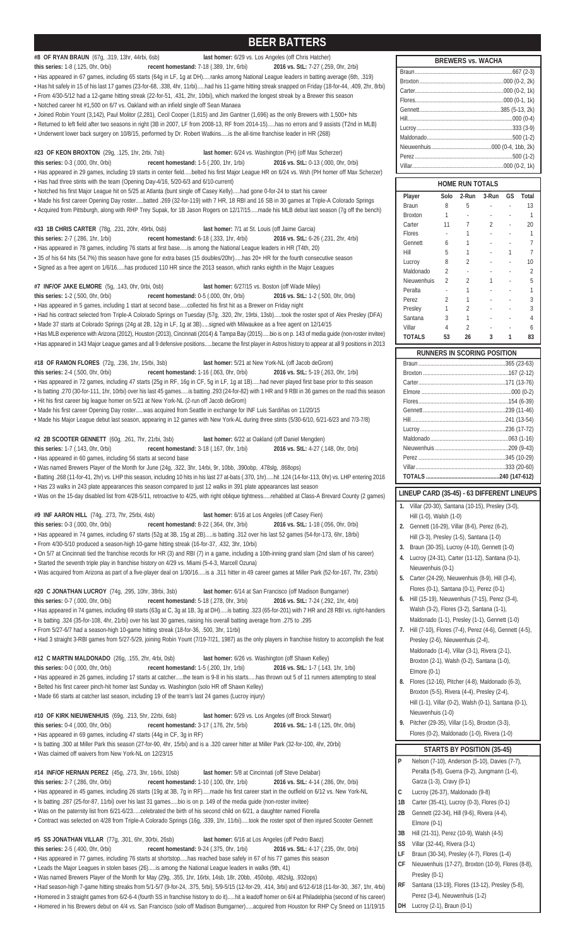# **BEER BATTERS**

**#8 OF RYAN BRAUN** (67g, .319, 13hr, 44rbi, 6sb) **last homer:** 6/29 vs. Los Angeles (off Chris Hatcher) **this series:** 1-8 (.125, 0hr, 0rbi) **recent homestand:** 7-18 (.389, 1hr, 6rbi) **2016 vs. StL:** 7-27 (.259, 0hr, 2rbi) • Has appeared in 67 games, including 65 starts (64g in LF, 1g at DH).....ranks among National League leaders in batting average (6th, .319) • Has hit safely in 15 of his last 17 games (23-for-68, .338, 4hr, 11rbi).....had his 11-game hitting streak snapped on Friday (18-for-44, .409, 2hr, 8rbi)

• From 4/30-5/12 had a 12-game hitting streak (22-for-51, .431, 2hr, 10rbi), which marked the longest streak by a Brewer this season • Notched career hit #1,500 on 6/7 vs. Oakland with an infield single off Sean Manaea

• Joined Robin Yount (3,142), Paul Molitor (2,281), Cecil Cooper (1,815) and Jim Gantner (1,696) as the only Brewers with 1,500+ hits

• Returned to left field after two seasons in right (3B in 2007, LF from 2008-13, RF from 2014-15).....has no errors and 9 assists (T2nd in MLB) • Underwent lower back surgery on 10/8/15, performed by Dr. Robert Watkins.....is the all-time franchise leader in HR (268)

**#23 OF KEON BROXTON** (29g, .125, 1hr, 2rbi, 7sb) **last homer:** 6/24 vs. Washington (PH) (off Max Scherzer) **this series:** 0-3 (.000, 0hr, 0rbi) **recent homestand:** 1-5 (.200, 1hr, 1rbi) **2016 vs. StL:** 0-13 (.000, 0hr, 0rbi) • Has appeared in 29 games, including 19 starts in center field.....belted his first Major League HR on 6/24 vs. Wsh (PH homer off Max Scherzer)

• Has had three stints with the team (Opening Day-4/16, 5/20-6/3 and 6/10-current)

• Notched his first Major League hit on 5/25 at Atlanta (bunt single off Casey Kelly).....had gone 0-for-24 to start his career

• Made his first career Opening Day roster.....batted .269 (32-for-119) with 7 HR, 18 RBI and 16 SB in 30 games at Triple-A Colorado Springs • Acquired from Pittsburgh, along with RHP Trey Supak, for 1B Jason Rogers on 12/17/15.....made his MLB debut last season (7g off the bench)

**#33 1B CHRIS CARTER** (78g, .231, 20hr, 49rbi, 0sb) **last homer:** 7/1 at St. Louis (off Jaime Garcia) **this series:** 2-7 (.286, 1hr, 1rbi) **recent homestand:** 6-18 (.333, 1hr, 4rbi) **2016 vs. StL:** 6-26 (.231, 2hr, 4rbi) • Has appeared in 78 games, including 76 starts at first base.....is among the National League leaders in HR (T4th, 20)

• 35 of his 64 hits (54.7%) this season have gone for extra bases (15 doubles/20hr).....has 20+ HR for the fourth consecutive season

• Signed as a free agent on 1/6/16.....has produced 110 HR since the 2013 season, which ranks eighth in the Major Leagues

**#7 INF/OF JAKE ELMORE** (5g, .143, 0hr, 0rbi, 0sb) **last homer:** 6/27/15 vs. Boston (off Wade Miley)

**this series:** 1-2 (.500, 0hr, 0rbi) **recent homestand:** 0-5 (.000, 0hr, 0rbi) **2016 vs. StL:** 1-2 (.500, 0hr, 0rbi) • Has appeared in 5 games, including 1 start at second base.....collected his first hit as a Brewer on Friday night

• Had his contract selected from Triple-A Colorado Springs on Tuesday (57g, .320, 2hr, 19rbi, 13sb).....took the roster spot of Alex Presley (DFA) • Made 37 starts at Colorado Springs (24g at 2B, 12g in LF, 1g at 3B).....signed with Milwaukee as a free agent on 12/14/15

• Has MLB experience with Arizona (2012), Houston (2013), Cincinnati (2014) & Tampa Bay (2015).....bio is on p. 143 of media guide (non-roster invitee)

• Has appeared in 143 Major League games and all 9 defensive positions.....became the first player in Astros history to appear at all 9 positions in 2013

**#18 OF RAMON FLORES** (72g, .236, 1hr, 15rbi, 3sb) **last homer:** 5/21 at New York-NL (off Jacob deGrom) **this series:** 2-4 (.500, 0hr, 0rbi) **recent homestand:** 1-16 (.063, 0hr, 0rbi) **2016 vs. StL:** 5-19 (.263, 0hr, 1rbi) • Has appeared in 72 games, including 47 starts (25g in RF, 16g in CF, 5g in LF, 1g at 1B).....had never played first base prior to this season • Is batting .270 (30-for-111, 1hr, 10rbi) over his last 45 games.....is batting .293 (24-for-82) with 1 HR and 9 RBI in 36 games on the road this season • Hit his first career big league homer on 5/21 at New York-NL (2-run off Jacob deGrom)

• Made his first career Opening Day roster.....was acquired from Seattle in exchange for INF Luis Sardiñas on 11/20/15

• Made his Major League debut last season, appearing in 12 games with New York-AL during three stints (5/30-6/10, 6/21-6/23 and 7/3-7/8)

**#2 2B SCOOTER GENNETT** (60g, .261, 7hr, 21rbi, 3sb) **last homer:** 6/22 at Oakland (off Daniel Mengden) **this series:** 1-7 (.143, 0hr, 0rbi) **recent homestand:** 3-18 (.167, 0hr, 1rbi) **2016 vs. StL:** 4-27 (.148, 0hr, 0rbi)

• Has appeared in 60 games, including 56 starts at second base

• Was named Brewers Player of the Month for June (24g, .322, 3hr, 14rbi, 9r, 10bb, .390obp, .478slg, .868ops) • Batting .268 (11-for-41, 2hr) vs. LHP this season, including 10 hits in his last 27 at-bats (.370, 1hr).....hit .124 (14-for-113, 0hr) vs. LHP entering 2016

• Has 23 walks in 243 plate appearances this season compared to just 12 walks in 391 plate appearances last season

• Was on the 15-day disabled list from 4/28-5/11, retroactive to 4/25, with right oblique tightness.....rehabbed at Class-A Brevard County (2 games)

**#9 INF AARON HILL** (74g, .273, 7hr, 25rbi, 4sb) **last homer:** 6/16 at Los Angeles (off Casey Fien)

- **this series:** 0-3 (.000, 0hr, 0rbi) **recent homestand:** 8-22 (.364, 0hr, 3rbi) **2016 vs. StL:** 1-18 (.056, 0hr, 0rbi)
- Has appeared in 74 games, including 67 starts (52g at 3B, 15g at 2B).....is batting .312 over his last 52 games (54-for-173, 6hr, 18rbi)

• From 4/30-5/10 produced a season-high 10-game hitting streak (16-for-37, .432, 3hr, 10rbi) • On 5/7 at Cincinnati tied the franchise records for HR (3) and RBI (7) in a game, including a 10th-inning grand slam (2nd slam of his career)

• Started the seventh triple play in franchise history on 4/29 vs. Miami (5-4-3, Marcell Ozuna)

• Was acquired from Arizona as part of a five-player deal on 1/30/16.....is a .311 hitter in 49 career games at Miller Park (52-for-167, 7hr, 23rbi)

**#20 C JONATHAN LUCROY** (74g, .295, 10hr, 38rbi, 3sb) **last homer:** 6/14 at San Francisco (off Madison Bumgarner) **this series:** 0-7 (.000, 0hr, 0rbi) **recent homestand:** 5-18 (.278, 0hr, 3rbi) **2016 vs. StL:** 7-24 (.292, 1hr, 4rbi) • Has appeared in 74 games, including 69 starts (63g at C, 3g at 1B, 3g at DH).....is batting .323 (65-for-201) with 7 HR and 28 RBI vs. right-handers

• Is batting .324 (35-for-108, 4hr, 21rbi) over his last 30 games, raising his overall batting average from .275 to .295

• From 5/27-6/7 had a season-high 10-game hitting streak (18-for-36, .500, 3hr, 11rbi)

• Had 3 straight 3-RBI games from 5/27-5/29, joining Robin Yount (7/19-7/21, 1987) as the only players in franchise history to accomplish the feat

**#12 C MARTIN MALDONADO** (26g, .155, 2hr, 4rbi, 0sb) **last homer:** 6/26 vs. Washington (off Shawn Kelley) **this series:** 0-0 (.000, 0hr, 0rbi) **recent homestand:** 1-5 (.200, 1hr, 1rbi) **2016 vs. StL:** 1-7 (.143, 1hr, 1rbi) • Has appeared in 26 games, including 17 starts at catcher.....the team is 9-8 in his starts.....has thrown out 5 of 11 runners attempting to steal • Belted his first career pinch-hit homer last Sunday vs. Washington (solo HR off Shawn Kelley) • Made 66 starts at catcher last season, including 19 of the team's last 24 games (Lucroy injury)

**#10 OF KIRK NIEUWENHUIS** (69g, .213, 5hr, 22rbi, 6sb) **last homer:** 6/29 vs. Los Angeles (off Brock Stewart) **this series:** 0-4 (.000, 0hr, 0rbi) **recent homestand:** 3-17 (.176, 2hr, 5rbi) **2016 vs. StL:** 1-8 (.125, 0hr, 0rbi) • Has appeared in 69 games, including 47 starts (44g in CF, 3g in RF)

• Is batting .300 at Miller Park this season (27-for-90, 4hr, 15rbi) and is a .320 career hitter at Miller Park (32-for-100, 4hr, 20rbi) • Was claimed off waivers from New York-NL on 12/23/15

**#14 INF/OF HERNAN PEREZ** (45g, .273, 3hr, 16rbi, 10sb) **last homer:** 5/8 at Cincinnati (off Steve Delabar)

**this series:** 2-7 (.286, 0hr, 0rbi) **recent homestand:** 1-10 (.100, 0hr, 1rbi) **2016 vs. StL:** 4-14 (.286, 0hr, 0rbi)

• Has appeared in 45 games, including 26 starts (19g at 3B, 7g in RF).....made his first career start in the outfield on 6/12 vs. New York-NL • Is batting .287 (25-for-87, 11rbi) over his last 31 games.....bio is on p. 149 of the media guide (non-roster invitee)

• Was on the paternity list from 6/21-6/23.....celebrated the birth of his second child on 6/21, a daughter named Fiorella

• Contract was selected on 4/28 from Triple-A Colorado Springs (16g, .339, 1hr, 11rbi).....took the roster spot of then injured Scooter Gennett

**#5 SS JONATHAN VILLAR** (77g, .301, 6hr, 30rbi, 26sb) **last homer:** 6/16 at Los Angeles (off Pedro Baez) **this series:** 2-5 (.400, 0hr, 0rbi) **recent homestand:** 9-24 (.375, 0hr, 1rbi) **2016 vs. StL:** 4-17 (.235, 0hr, 0rbi)

• Has appeared in 77 games, including 76 starts at shortstop.....has reached base safely in 67 of his 77 games this season

• Leads the Major Leagues in stolen bases (26).....is among the National League leaders in walks (9th, 41)

• Was named Brewers Player of the Month for May (29g, .355, 1hr, 16rbi, 14sb, 18r, 20bb, .450obp, .482slg, .932ops)

• Had season-high 7-game hitting streaks from 5/1-5/7 (9-for-24, .375, 5rbi), 5/9-5/15 (12-for-29, .414, 3rbi) and 6/12-6/18 (11-for-30, .367, 1hr, 4rbi) • Homered in 3 straight games from 6/2-6-4 (fourth SS in franchise history to do it).....hit a leadoff homer on 6/4 at Philadelphia (second of his career) • Homered in his Brewers debut on 4/4 vs. San Francisco (solo off Madison Bumgarner).....acquired from Houston for RHP Cy Sneed on 11/19/15

| <b>BREWERS vs. WACHA</b> |  |  |  |  |  |  |  |
|--------------------------|--|--|--|--|--|--|--|
|                          |  |  |  |  |  |  |  |
|                          |  |  |  |  |  |  |  |
|                          |  |  |  |  |  |  |  |
|                          |  |  |  |  |  |  |  |
|                          |  |  |  |  |  |  |  |
|                          |  |  |  |  |  |  |  |
|                          |  |  |  |  |  |  |  |
|                          |  |  |  |  |  |  |  |
|                          |  |  |  |  |  |  |  |
|                          |  |  |  |  |  |  |  |
|                          |  |  |  |  |  |  |  |
|                          |  |  |  |  |  |  |  |

| <b>HOME RUN TOTALS</b> |                          |               |               |    |       |  |  |  |  |  |
|------------------------|--------------------------|---------------|---------------|----|-------|--|--|--|--|--|
| Player                 | Solo                     | 2-Run         | 3-Run         | GS | Total |  |  |  |  |  |
| <b>Braun</b>           | 8                        | 5             |               |    | 13    |  |  |  |  |  |
| <b>Broxton</b>         | 1                        |               |               |    | 1     |  |  |  |  |  |
| Carter                 | 11                       | 7             | $\mathfrak z$ |    | 20    |  |  |  |  |  |
| Flores                 |                          | 1             |               |    | 1     |  |  |  |  |  |
| Gennett                | 6                        | 1             |               |    | 7     |  |  |  |  |  |
| Hill                   | 5                        | 1             |               |    |       |  |  |  |  |  |
| Lucroy                 | 8                        | 2             |               |    | 10    |  |  |  |  |  |
| Maldonado              | $\mathfrak{D}$           |               |               |    | 2     |  |  |  |  |  |
| Nieuwenhuis            | $\overline{\phantom{a}}$ | $\mathfrak z$ |               |    | 5     |  |  |  |  |  |
| Peralta                |                          | 1             |               |    | 1     |  |  |  |  |  |
| Perez                  | 2                        | 1             |               |    | 3     |  |  |  |  |  |
| Presley                | 1                        | 2             |               |    | 3     |  |  |  |  |  |
| Santana                | 3                        | 1             |               |    | 4     |  |  |  |  |  |
| Villar                 | 4                        | $\mathfrak z$ |               |    | 6     |  |  |  |  |  |
| <b>TOTALS</b>          | 53                       | 26            | 3             |    | 83    |  |  |  |  |  |

| RUNNERS IN SCORING POSITION |  |  |  |  |  |  |
|-----------------------------|--|--|--|--|--|--|
|                             |  |  |  |  |  |  |
|                             |  |  |  |  |  |  |
|                             |  |  |  |  |  |  |
|                             |  |  |  |  |  |  |
|                             |  |  |  |  |  |  |
|                             |  |  |  |  |  |  |
|                             |  |  |  |  |  |  |
|                             |  |  |  |  |  |  |
|                             |  |  |  |  |  |  |
|                             |  |  |  |  |  |  |
|                             |  |  |  |  |  |  |
|                             |  |  |  |  |  |  |
|                             |  |  |  |  |  |  |

## **LINEUP CARD (35-45) - 63 DIFFERENT LINEUPS**

**1.** Villar (20-30), Santana (10-15), Presley (3-0), Hill (1-0), Walsh (1-0)

- **2.** Gennett (16-29), Villar (8-6), Perez (6-2), Hill (3-3), Presley (1-5), Santana (1-0)
- **3.** Braun (30-35), Lucroy (4-10), Gennett (1-0)
- **4.** Lucroy (24-31), Carter (11-12), Santana (0-1), Nieuwenhuis (0-1)
- **5.** Carter (24-29), Nieuwenhuis (8-9), Hill (3-4), Flores (0-1), Santana (0-1), Perez (0-1)
- **6.** Hill (15-19), Nieuwenhuis (7-15), Perez (3-4), Walsh (3-2), Flores (3-2), Santana (1-1), Maldonado (1-1), Presley (1-1), Gennett (1-0)
- **7.** Hill (7-10), Flores (7-4), Perez (4-6), Gennett (4-5), Presley (2-6), Nieuwenhuis (2-4), Maldonado (1-4), Villar (3-1), Rivera (2-1), Broxton (2-1), Walsh (0-2), Santana (1-0), Elmore (0-1)
- **8.** Flores (12-16), Pitcher (4-8), Maldonado (6-3), Broxton (5-5), Rivera (4-4), Presley (2-4), Hill (1-1), Villar (0-2), Walsh (0-1), Santana (0-1), Nieuwenhuis (1-0)
- **9.** Pitcher (29-35), Villar (1-5), Broxton (3-3), Flores (0-2), Maldonado (1-0), Rivera (1-0)

# **STARTS BY POSITION (35-45)**

- **P** Nelson (7-10), Anderson (5-10), Davies (7-7), Peralta (5-8), Guerra (9-2), Jungmann (1-4), Garza (1-3), Cravy (0-1)
- **C** Lucroy (26-37), Maldonado (9-8)
- **1B** Carter (35-41), Lucroy (0-3), Flores (0-1) **2B** Gennett (22-34), Hill (9-6), Rivera (4-4),
- Elmore (0-1) **3B** Hill (21-31), Perez (10-9), Walsh (4-5)
- **SS** Villar (32-44), Rivera (3-1)
- **LF** Braun (30-34), Presley (4-7), Flores (1-4)
- **CF** Nieuwenhuis (17-27), Broxton (10-9), Flores (8-8),
- Presley (0-1)
- **RF** Santana (13-19), Flores (13-12), Presley (5-8), Perez (3-4), Nieuwenhuis (1-2)
- **DH** Lucroy (2-1), Braun (0-1)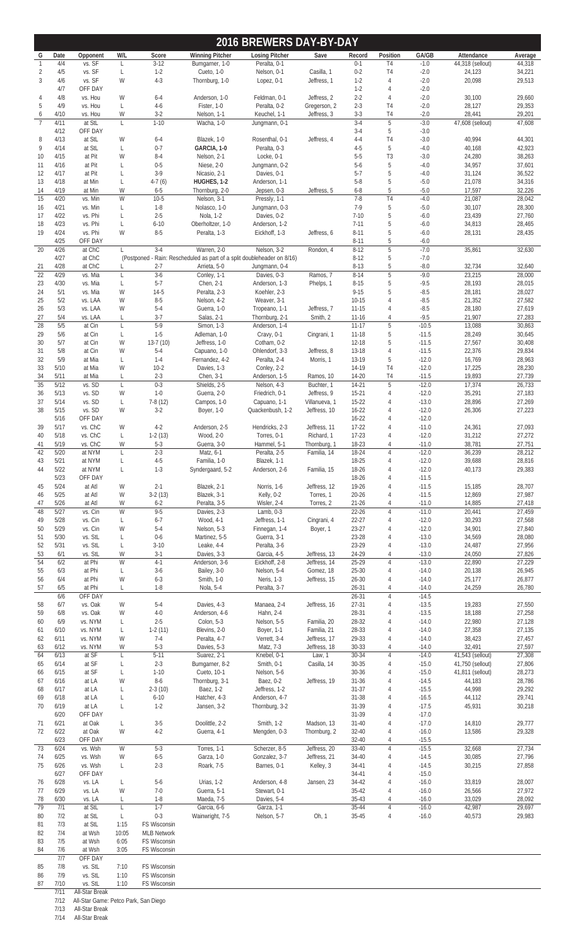|                       |              |                                      |              |                     |                                | 2016 BREWERS DAY-BY-DAY                                                                  |                               |                        |                |                    |                            |                  |
|-----------------------|--------------|--------------------------------------|--------------|---------------------|--------------------------------|------------------------------------------------------------------------------------------|-------------------------------|------------------------|----------------|--------------------|----------------------------|------------------|
| G                     | Date         | Opponent                             | W/L          | Score               | <b>Winning Pitcher</b>         | <b>Losing Pitcher</b>                                                                    | Save                          | Record                 | Position       | GA/GB              | Attendance                 | Average          |
| $\mathbf{1}$          | 4/4          | vs. SF                               | L            | $3 - 12$            | Bumgarner, 1-0                 | Peralta, 0-1                                                                             |                               | $0 - 1$                | T4             | $-1.0$             | 44,318 (sellout)           | 44,318           |
| 2<br>3                | 4/5<br>4/6   | vs. SF<br>vs. SF                     | L<br>W       | $1-2$<br>$4 - 3$    | Cueto, 1-0<br>Thornburg, 1-0   | Nelson, 0-1<br>Lopez, 0-1                                                                | Casilla, 1<br>Jeffress, 1     | $0 - 2$<br>$1-2$       | T4<br>4        | $-2.0$<br>$-2.0$   | 24,123<br>20,098           | 34,221<br>29,513 |
|                       | 4/7          | OFF DAY                              |              |                     |                                |                                                                                          |                               | $1 - 2$                | 4              | $-2.0$             |                            |                  |
| 4                     | 4/8          | vs. Hou                              | W            | $6 - 4$             | Anderson, 1-0                  | Feldman, 0-1                                                                             | Jeffress, 2                   | $2 - 2$                | 4              | $-2.0$             | 30,100                     | 29,660           |
| 5                     | 4/9          | vs. Hou                              | L            | $4-6$               | Fister, 1-0                    | Peralta, 0-2                                                                             | Gregerson, 2                  | $2 - 3$                | T4             | $-2.0$             | 28,127                     | 29,353           |
| 6                     | 4/10         | vs. Hou                              | W            | $3-2$               | Nelson, 1-1                    | Keuchel, 1-1                                                                             | Jeffress, 3                   | $3-3$                  | T4             | $-2.0$             | 28,441                     | 29,201           |
| $\overline{7}$        | 4/11<br>4/12 | at StL<br>OFF DAY                    | L            | $1 - 10$            | Wacha, 1-0                     | Jungmann, 0-1                                                                            |                               | $3-4$<br>$3-4$         | $5\,$<br>5     | $-3.0$<br>$-3.0$   | 47,608 (sellout)           | 47,608           |
| 8                     | 4/13         | at StL                               | W            | $6 - 4$             | Blazek, 1-0                    | Rosenthal, 0-1                                                                           | Jeffress, 4                   | $4 - 4$                | T <sub>4</sub> | $-3.0$             | 40,994                     | 44,301           |
| 9                     | 4/14         | at StL                               | L            | $0 - 7$             | GARCIA, 1-0                    | Peralta, 0-3                                                                             |                               | $4 - 5$                | 5              | $-4.0$             | 40,168                     | 42,923           |
| 10                    | 4/15         | at Pit                               | W            | $8 - 4$             | Nelson, 2-1                    | Locke, 0-1                                                                               |                               | $5-5$                  | T <sub>3</sub> | $-3.0$             | 24,280                     | 38,263           |
| 11                    | 4/16         | at Pit                               | L            | $0 - 5$             | Niese, 2-0                     | Jungmann, 0-2                                                                            |                               | $5 - 6$                | 5              | $-4.0$             | 34,957                     | 37,601           |
| 12                    | 4/17         | at Pit                               | L            | $3-9$               | Nicasio, 2-1                   | Davies, 0-1                                                                              |                               | $5-7$                  | 5              | $-4.0$             | 31,124                     | 36,522           |
| 13                    | 4/18         | at Min                               | L            | $4-7(6)$            | HUGHES, 1-2                    | Anderson, 1-1                                                                            |                               | $5 - 8$                | 5              | $-5.0$             | 21,078                     | 34,316           |
| 14<br>15              | 4/19<br>4/20 | at Min<br>vs. Min                    | W<br>W       | $6 - 5$<br>$10 - 5$ | Thornburg, 2-0<br>Nelson, 3-1  | Jepsen, 0-3<br>Pressly, 1-1                                                              | Jeffress, 5                   | $6 - 8$<br>$7 - 8$     | 5<br>T4        | $-5.0$<br>$-4.0$   | 17,597<br>21,087           | 32,226<br>28,042 |
| 16                    | 4/21         | vs. Min                              | L            | $1-8$               | Nolasco, 1-0                   | Jungmann, 0-3                                                                            |                               | $7-9$                  | 5              | $-5.0$             | 30,107                     | 28,300           |
| 17                    | 4/22         | vs. Phi                              | L            | $2 - 5$             | Nola, 1-2                      | Davies, 0-2                                                                              |                               | $7 - 10$               | 5              | $-6.0$             | 23,439                     | 27,760           |
| 18                    | 4/23         | vs. Phi                              | L            | $6 - 10$            | Oberholtzer, 1-0               | Anderson, 1-2                                                                            |                               | $7 - 11$               | 5              | $-6.0$             | 34,813                     | 28,465           |
| 19                    | 4/24         | vs. Phi                              | W            | $8-5$               | Peralta, 1-3                   | Eickhoff, 1-3                                                                            | Jeffress, 6                   | $8 - 11$               | 5              | $-6.0$             | 28,131                     | 28,435           |
|                       | 4/25         | OFF DAY                              |              |                     |                                |                                                                                          |                               | $8 - 11$               | 5              | $-6.0$             |                            |                  |
| 20                    | 4/26         | at ChC                               | $\mathbf{L}$ | $3-4$               | Warren, 2-0                    | Nelson, 3-2                                                                              | Rondon, 4                     | $8-12$                 | $\overline{5}$ | $-7.0$             | 35,861                     | 32,630           |
|                       | 4/27<br>4/28 | at ChC<br>at ChC                     |              | $2 - 7$             | Arrieta, 5-0                   | (Postponed - Rain: Rescheduled as part of a split doubleheader on 8/16)<br>Jungmann, 0-4 |                               | $8 - 12$<br>$8 - 13$   | 5<br>5         | $-7.0$<br>$-8.0$   | 32,734                     | 32,640           |
| 21<br>$\overline{22}$ | 4/29         | vs. Mia                              | L            | $3-6$               | Conley, 1-1                    | Davies, 0-3                                                                              | Ramos, 7                      | $8 - 14$               | 5              | $-9.0$             | 23,215                     | 28,000           |
| 23                    | 4/30         | vs. Mia                              | L            | $5 - 7$             | Chen, 2-1                      | Anderson, 1-3                                                                            | Phelps, 1                     | $8 - 15$               | 5              | $-9.5$             | 28,193                     | 28,015           |
| 24                    | 5/1          | vs. Mia                              | W            | $14-5$              | Peralta, 2-3                   | Koehler, 2-3                                                                             |                               | $9 - 15$               | 5              | $-8.5$             | 28,181                     | 28,027           |
| 25                    | 5/2          | vs. LAA                              | W            | $8 - 5$             | Nelson, 4-2                    | Weaver, 3-1                                                                              |                               | $10 - 15$              | $\overline{4}$ | $-8.5$             | 21,352                     | 27,582           |
| 26                    | 5/3          | vs. LAA                              | W            | $5 - 4$             | Guerra, 1-0                    | Tropeano, 1-1                                                                            | Jeffress, 7                   | $11 - 15$              | 4              | $-8.5$             | 28,180                     | 27,619           |
| 27                    | 5/4          | vs. LAA                              | L            | $3 - 7$             | Salas, 2-1                     | Thornburg, 2-1                                                                           | Smith, 2                      | $11 - 16$              | 4              | $-9.5$             | 21,907                     | 27,283           |
| 28                    | 5/5<br>5/6   | at Cin                               | L<br>L       | $5-9$<br>$1 - 5$    | Simon, 1-3                     | Anderson, 1-4                                                                            |                               | $11-17$<br>$11 - 18$   | 5<br>5         | $-10.5$            | 13,088<br>28,249           | 30,863           |
| 29<br>30              | 5/7          | at Cin<br>at Cin                     | W            | $13-7(10)$          | Adleman, 1-0<br>Jeffress, 1-0  | Cravy, 0-1<br>Cotham, 0-2                                                                | Cingrani, 1                   | $12 - 18$              | 5              | $-11.5$<br>$-11.5$ | 27,567                     | 30,645<br>30,408 |
| 31                    | 5/8          | at Cin                               | W            | $5 - 4$             | Capuano, 1-0                   | Ohlendorf, 3-3                                                                           | Jeffress, 8                   | 13-18                  | $\overline{4}$ | $-11.5$            | 22,376                     | 29,834           |
| 32                    | 5/9          | at Mia                               | L            | $1 - 4$             | Fernandez, 4-2                 | Peralta, 2-4                                                                             | Morris, 1                     | 13-19                  | 5              | $-12.0$            | 16,769                     | 28,963           |
| 33                    | 5/10         | at Mia                               | W            | $10-2$              | Davies, 1-3                    | Conley, 2-2                                                                              |                               | 14-19                  | T4             | $-12.0$            | 17,225                     | 28,230           |
| 34                    | 5/11         | at Mia                               | L            | $2 - 3$             | Chen, 3-1                      | Anderson, 1-5                                                                            | Ramos, 10                     | 14-20                  | T4             | $-11.5$            | 19,893                     | 27,739           |
| $\overline{35}$       | 5/12         | vs. SD                               | L            | $0 - 3$             | Shields, 2-5                   | Nelson, 4-3                                                                              | Buchter, 1                    | 14-21                  | 5              | $-12.0$            | 17,374                     | 26,733           |
| 36                    | 5/13         | vs. SD                               | W            | $1 - 0$             | Guerra, 2-0                    | Friedrich, 0-1                                                                           | Jeffress, 9                   | $15 - 21$              | 4              | $-12.0$            | 35,291                     | 27,183           |
| 37<br>38              | 5/14<br>5/15 | vs. SD<br>vs. SD                     | L<br>W       | $7-8(12)$<br>$3-2$  | Campos, 1-0<br>Boyer, 1-0      | Capuano, 1-1<br>Quackenbush, 1-2                                                         | Villanueva, 1<br>Jeffress, 10 | 15-22<br>$16 - 22$     | 4<br>4         | $-13.0$<br>$-12.0$ | 28,896<br>26,306           | 27,269<br>27,223 |
|                       | 5/16         | OFF DAY                              |              |                     |                                |                                                                                          |                               | $16 - 22$              | 4              | $-12.0$            |                            |                  |
| 39                    | 5/17         | vs. ChC                              | W            | $4 - 2$             | Anderson, 2-5                  | Hendricks, 2-3                                                                           | Jeffress, 11                  | $17 - 22$              | 4              | $-11.0$            | 24,361                     | 27,093           |
| 40                    | 5/18         | vs. ChC                              | L            | $1-2(13)$           | Wood, 2-0                      | Torres, 0-1                                                                              | Richard, 1                    | $17 - 23$              | 4              | $-12.0$            | 31,212                     | 27,272           |
| 41                    | 5/19         | vs. ChC                              | W            | $5 - 3$             | Guerra, 3-0                    | Hammel, 5-1                                                                              | Thornburg, 1                  | 18-23                  | 4              | $-11.0$            | 38,781                     | 27,751           |
| 42                    | 5/20         | at NYM                               | L            | $2 - 3$             | Matz, 6-1                      | Peralta, 2-5                                                                             | Familia, 14                   | 18-24                  | $\overline{4}$ | $-12.0$            | 36,239                     | 28,212           |
| 43                    | 5/21         | at NYM                               | L            | $4-5$               | Familia, 1-0                   | Blazek, 1-1                                                                              |                               | 18-25                  | 4              | $-12.0$            | 39,688                     | 28,816           |
| 44                    | 5/22<br>5/23 | at NYM<br>OFF DAY                    | L            | $1-3$               | Syndergaard, 5-2               | Anderson, 2-6                                                                            | Familia, 15                   | 18-26<br>18-26         | 4<br>4         | $-12.0$<br>$-11.5$ | 40,173                     | 29,383           |
| 45                    | 5/24         | at Atl                               | W            | $2 - 1$             | Blazek, 2-1                    | Norris, 1-6                                                                              | Jeffress, 12                  | 19-26                  | 4              | $-11.5$            | 15,185                     | 28,707           |
| 46                    | 5/25         | at Atl                               | W            | $3-2(13)$           | Blazek, 3-1                    | Kelly, 0-2                                                                               | Torres, 1                     | $20 - 26$              | 4              | $-11.5$            | 12,869                     | 27,987           |
| 47                    | 5/26         | at Atl                               | W            | $6 - 2$             | Peralta, 3-5                   | Wisler, 2-4                                                                              | Torres, 2                     | $21 - 26$              | 4              | $-11.0$            | 14,885                     | 27,418           |
| 48                    | 5/27         | vs. Cin                              | W            | $9 - 5$             | Davies, 2-3                    | Lamb, $0-3$                                                                              |                               | $22 - 26$              | 4              | $-11.0$            | 20,441                     | 27,459           |
| 49                    | 5/28         | vs. Cin                              | L            | $6 - 7$             | Wood, 4-1                      | Jeffress, 1-1                                                                            | Cingrani, 4                   | 22-27                  | 4              | $-12.0$            | 30,293                     | 27,568           |
| 50                    | 5/29         | vs. Cin                              | W            | $5 - 4$             | Nelson, 5-3                    | Finnegan, 1-4                                                                            | Boyer, 1                      | 23-27                  | 4              | $-12.0$            | 34,901                     | 27,840           |
| 51<br>52              | 5/30<br>5/31 | vs. StL<br>vs. StL                   | L<br>L       | $0 - 6$<br>$3 - 10$ | Martinez, 5-5<br>Leake, 4-4    | Guerra, 3-1<br>Peralta, 3-6                                                              |                               | 23-28<br>23-29         | 4<br>4         | $-13.0$<br>$-13.0$ | 34,569<br>24,487           | 28,080<br>27,956 |
| 53                    | 6/1          | vs. StL                              | W            | $3-1$               | Davies, 3-3                    | Garcia, 4-5                                                                              | Jeffress, 13                  | 24-29                  | 4              | $-13.0$            | 24,050                     | 27,826           |
| 54                    | 6/2          | at Phi                               | W            | $4-1$               | Anderson, 3-6                  | Eickhoff, 2-8                                                                            | Jeffress, 14                  | 25-29                  | 4              | $-13.0$            | 22,890                     | 27,229           |
| 55                    | 6/3          | at Phi                               | L            | $3-6$               | Bailey, 3-0                    | Nelson, 5-4                                                                              | Gomez, 18                     | $25 - 30$              | 4              | $-14.0$            | 20,138                     | 26,945           |
| 56                    | 6/4          | at Phi                               | W            | $6 - 3$             | Smith, 1-0                     | Neris, 1-3                                                                               | Jeffress, 15                  | $26 - 30$              | 4              | $-14.0$            | 25,177                     | 26,877           |
| 57                    | 6/5          | at Phi                               | L            | $1 - 8$             | Nola, 5-4                      | Peralta, 3-7                                                                             |                               | $26 - 31$              | 4              | $-14.0$            | 24,259                     | 26,780           |
|                       | 6/6          | OFF DAY                              |              |                     |                                |                                                                                          |                               | $26 - 31$              | 4              | $-14.5$            |                            |                  |
| 58<br>59              | 6/7<br>6/8   | vs. Oak<br>vs. Oak                   | W<br>W       | $5 - 4$<br>$4 - 0$  | Davies, 4-3<br>Anderson, 4-6   | Manaea, 2-4<br>Hahn, 2-4                                                                 | Jeffress, 16                  | 27-31<br>28-31         | 4<br>4         | $-13.5$<br>$-13.5$ | 19,283<br>18,188           | 27,550<br>27,258 |
| 60                    | 6/9          | vs. NYM                              | L            | $2 - 5$             | Colon, 5-3                     | Nelson, 5-5                                                                              | Familia, 20                   | 28-32                  | 4              | $-14.0$            | 22,980                     | 27,128           |
| 61                    | 6/10         | vs. NYM                              | L            | $1-2(11)$           | Blevins, 2-0                   | Boyer, 1-1                                                                               | Familia, 21                   | 28-33                  | 4              | $-14.0$            | 27,358                     | 27,135           |
| 62                    | 6/11         | vs. NYM                              | W            | $7-4$               | Peralta, 4-7                   | Verrett, 3-4                                                                             | Jeffress, 17                  | 29-33                  | 4              | $-14.0$            | 38,423                     | 27,457           |
| 63                    | 6/12         | vs. NYM                              | W            | $5 - 3$             | Davies, 5-3                    | Matz, 7-3                                                                                | Jeffress, 18                  | 30-33                  | 4              | $-14.0$            | 32,491                     | 27,597           |
| 64                    | 6/13         | at SF                                | L            | $5 - 11$            | Suarez, 2-1                    | Knebel, 0-1                                                                              | Law, 1                        | 30-34                  | 4              | $-14.0$            | 41,543 (sellout)           | 27,308           |
| 65                    | 6/14         | at SF                                | L            | $2 - 3$             | Bumgarner, 8-2                 | Smith, 0-1                                                                               | Casilla, 14                   | $30 - 35$              | 4              | $-15.0$            | 41,750 (sellout)           | 27,806           |
| 66<br>67              | 6/15<br>6/16 | at SF<br>at LA                       | L<br>W       | $1 - 10$<br>$8 - 6$ | Cueto, 10-1<br>Thornburg, 3-1  | Nelson, 5-6<br>Baez, 0-2                                                                 | Jeffress, 19                  | $30 - 36$<br>$31 - 36$ | 4<br>4         | $-15.0$<br>$-14.5$ | 41,811 (sellout)<br>44,183 | 28,273<br>28,786 |
| 68                    | 6/17         | at LA                                | L            | $2-3(10)$           | Baez, 1-2                      | Jeffress, 1-2                                                                            |                               | $31 - 37$              | 4              | $-15.5$            | 44,998                     | 29,292           |
| 69                    | 6/18         | at LA                                | L            | $6 - 10$            | Hatcher, 4-3                   | Anderson, 4-7                                                                            |                               | 31-38                  | 4              | $-16.5$            | 44,112                     | 29,741           |
| 70                    | 6/19         | at LA                                | L            | $1-2$               | Jansen, 3-2                    | Thornburg, 3-2                                                                           |                               | 31-39                  | 4              | $-17.5$            | 45,931                     | 30,218           |
|                       | 6/20         | OFF DAY                              |              |                     |                                |                                                                                          |                               | 31-39                  | 4              | $-17.0$            |                            |                  |
| 71                    | 6/21         | at Oak                               | L            | $3 - 5$             | Doolittle, 2-2                 | Smith, 1-2                                                                               | Madson, 13                    | $31 - 40$              | 4              | $-17.0$            | 14,810                     | 29,777           |
| 72                    | 6/22<br>6/23 | at Oak                               | W            | $4 - 2$             | Guerra, 4-1                    | Mengden, 0-3                                                                             | Thornburg, 2                  | $32 - 40$              | 4              | $-16.0$            | 13,586                     | 29,328           |
| 73                    | 6/24         | OFF DAY<br>vs. Wsh                   | W            | $5 - 3$             | Torres, 1-1                    | Scherzer, 8-5                                                                            | Jeffress, 20                  | $32 - 40$<br>33-40     | 4<br>4         | $-15.5$<br>$-15.5$ | 32,668                     | 27,734           |
| 74                    | 6/25         | vs. Wsh                              | W            | $6 - 5$             | Garza, 1-0                     | Gonzalez, 3-7                                                                            | Jeffress, 21                  | 34-40                  | 4              | $-14.5$            | 30,085                     | 27,796           |
| 75                    | 6/26         | vs. Wsh                              | L.           | $2 - 3$             | Roark, 7-5                     | Barnes, 0-1                                                                              | Kelley, 3                     | 34-41                  | 4              | $-14.5$            | 30,215                     | 27,858           |
|                       | 6/27         | OFF DAY                              |              |                     |                                |                                                                                          |                               | 34-41                  | 4              | $-15.0$            |                            |                  |
| 76                    | 6/28         | vs. LA                               | L            | $5 - 6$             | Urias, 1-2                     | Anderson, 4-8                                                                            | Jansen, 23                    | 34-42                  | 4              | $-16.0$            | 33,819                     | 28,007           |
| 77                    | 6/29         | vs. LA                               | W            | $7-0$               | Guerra, 5-1                    | Stewart, 0-1                                                                             |                               | $35 - 42$              | 4              | $-16.0$            | 26,566                     | 27,972           |
| 78<br>79              | 6/30<br>7/1  | vs. LA<br>at StL                     | L<br>L       | $1 - 8$<br>$1 - 7$  | Maeda, 7-5                     | Davies, 5-4                                                                              |                               | $35-43$<br>35-44       | 4<br>4         | $-16.0$<br>$-16.0$ | 33,029<br>42,987           | 28,092<br>29,697 |
| 80                    | 7/2          | at StL                               | L            | $0 - 3$             | Garcia, 6-6<br>Wainwright, 7-5 | Garza, 1-1<br>Nelson, 5-7                                                                | Oh, 1                         | $35 - 45$              | 4              | $-16.0$            | 40,573                     | 29,983           |
| 81                    | 7/3          | at StL                               | 1:15         | FS Wisconsin        |                                |                                                                                          |                               |                        |                |                    |                            |                  |
| 82                    | 7/4          | at Wsh                               | 10:05        | <b>MLB Network</b>  |                                |                                                                                          |                               |                        |                |                    |                            |                  |
| 83                    | 7/5          | at Wsh                               | 6:05         | FS Wisconsin        |                                |                                                                                          |                               |                        |                |                    |                            |                  |
| 84                    | 7/6          | at Wsh                               | 3:05         | FS Wisconsin        |                                |                                                                                          |                               |                        |                |                    |                            |                  |
| 85                    | 7/7<br>7/8   | OFF DAY<br>vs. StL                   | 7:10         | FS Wisconsin        |                                |                                                                                          |                               |                        |                |                    |                            |                  |
| 86                    | 7/9          | vs. StL                              | 1:10         | FS Wisconsin        |                                |                                                                                          |                               |                        |                |                    |                            |                  |
| 87                    | 7/10         | vs. StL                              | 1:10         | <b>FS Wisconsin</b> |                                |                                                                                          |                               |                        |                |                    |                            |                  |
|                       | 7/11         | All-Star Break                       |              |                     |                                |                                                                                          |                               |                        |                |                    |                            |                  |
|                       | 7/12         | All-Star Game: Petco Park, San Diego |              |                     |                                |                                                                                          |                               |                        |                |                    |                            |                  |

7/13 All-Star Break

7/14 All-Star Break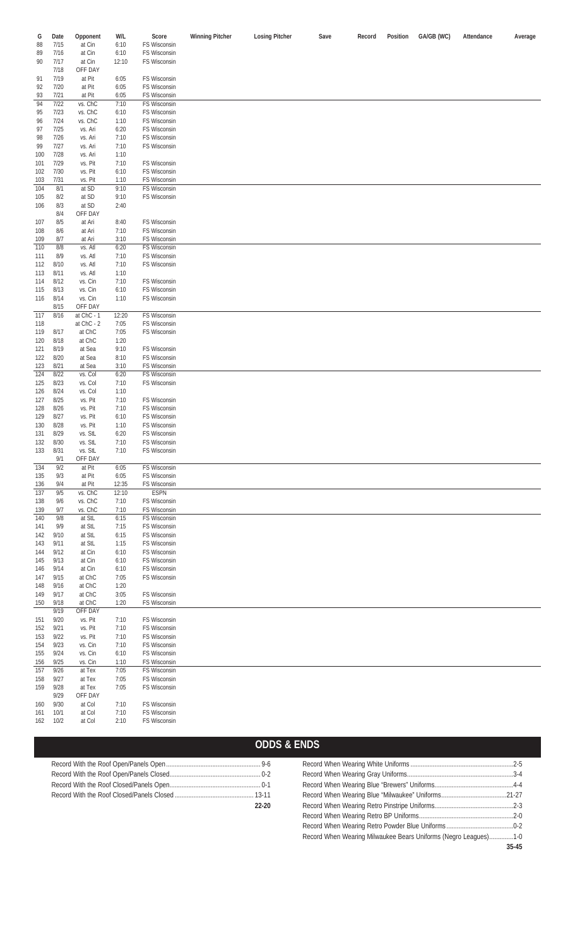| G   | Date | Opponent   | W/L   | Score               | <b>Winning Pitcher</b> | <b>Losing Pitcher</b> | Save | Record | Position | GA/GB (WC) | Attendance | Average |
|-----|------|------------|-------|---------------------|------------------------|-----------------------|------|--------|----------|------------|------------|---------|
| 88  | 7/15 | at Cin     | 6:10  | FS Wisconsin        |                        |                       |      |        |          |            |            |         |
| 89  | 7/16 | at Cin     | 6:10  | FS Wisconsin        |                        |                       |      |        |          |            |            |         |
|     |      |            |       |                     |                        |                       |      |        |          |            |            |         |
| 90  | 7/17 | at Cin     | 12:10 | FS Wisconsin        |                        |                       |      |        |          |            |            |         |
|     | 7/18 | OFF DAY    |       |                     |                        |                       |      |        |          |            |            |         |
| 91  | 7/19 | at Pit     | 6:05  | FS Wisconsin        |                        |                       |      |        |          |            |            |         |
| 92  | 7/20 | at Pit     | 6:05  | FS Wisconsin        |                        |                       |      |        |          |            |            |         |
|     |      |            |       |                     |                        |                       |      |        |          |            |            |         |
| 93  | 7/21 | at Pit     | 6:05  | FS Wisconsin        |                        |                       |      |        |          |            |            |         |
| 94  | 7/22 | vs. ChC    | 7:10  | FS Wisconsin        |                        |                       |      |        |          |            |            |         |
| 95  | 7/23 | vs. ChC    | 6:10  | FS Wisconsin        |                        |                       |      |        |          |            |            |         |
| 96  | 7/24 | vs. ChC    | 1:10  | FS Wisconsin        |                        |                       |      |        |          |            |            |         |
|     |      |            |       |                     |                        |                       |      |        |          |            |            |         |
| 97  | 7/25 | vs. Ari    | 6:20  | FS Wisconsin        |                        |                       |      |        |          |            |            |         |
| 98  | 7/26 | vs. Ari    | 7:10  | FS Wisconsin        |                        |                       |      |        |          |            |            |         |
| 99  | 7/27 | vs. Ari    | 7:10  | FS Wisconsin        |                        |                       |      |        |          |            |            |         |
| 100 | 7/28 | vs. Ari    | 1:10  |                     |                        |                       |      |        |          |            |            |         |
|     |      |            |       |                     |                        |                       |      |        |          |            |            |         |
| 101 | 7/29 | vs. Pit    | 7:10  | FS Wisconsin        |                        |                       |      |        |          |            |            |         |
| 102 | 7/30 | vs. Pit    | 6:10  | FS Wisconsin        |                        |                       |      |        |          |            |            |         |
| 103 | 7/31 | vs. Pit    | 1:10  | FS Wisconsin        |                        |                       |      |        |          |            |            |         |
| 104 | 8/1  | at SD      | 9:10  | FS Wisconsin        |                        |                       |      |        |          |            |            |         |
|     |      |            |       |                     |                        |                       |      |        |          |            |            |         |
| 105 | 8/2  | at SD      | 9:10  | FS Wisconsin        |                        |                       |      |        |          |            |            |         |
| 106 | 8/3  | at SD      | 2:40  |                     |                        |                       |      |        |          |            |            |         |
|     | 8/4  | OFF DAY    |       |                     |                        |                       |      |        |          |            |            |         |
| 107 | 8/5  | at Ari     | 8:40  | FS Wisconsin        |                        |                       |      |        |          |            |            |         |
| 108 | 8/6  | at Ari     | 7:10  | FS Wisconsin        |                        |                       |      |        |          |            |            |         |
|     |      |            |       |                     |                        |                       |      |        |          |            |            |         |
| 109 | 8/7  | at Ari     | 3:10  | FS Wisconsin        |                        |                       |      |        |          |            |            |         |
| 110 | 8/8  | vs. Atl    | 6:20  | FS Wisconsin        |                        |                       |      |        |          |            |            |         |
| 111 | 8/9  | vs. Atl    | 7:10  | FS Wisconsin        |                        |                       |      |        |          |            |            |         |
| 112 | 8/10 | vs. Atl    | 7:10  | FS Wisconsin        |                        |                       |      |        |          |            |            |         |
|     |      |            |       |                     |                        |                       |      |        |          |            |            |         |
| 113 | 8/11 | vs. Atl    | 1:10  |                     |                        |                       |      |        |          |            |            |         |
| 114 | 8/12 | vs. Cin    | 7:10  | FS Wisconsin        |                        |                       |      |        |          |            |            |         |
| 115 | 8/13 | vs. Cin    | 6:10  | FS Wisconsin        |                        |                       |      |        |          |            |            |         |
| 116 | 8/14 | vs. Cin    | 1:10  | FS Wisconsin        |                        |                       |      |        |          |            |            |         |
|     | 8/15 | OFF DAY    |       |                     |                        |                       |      |        |          |            |            |         |
|     |      |            |       |                     |                        |                       |      |        |          |            |            |         |
| 117 | 8/16 | at ChC - 1 | 12:20 | FS Wisconsin        |                        |                       |      |        |          |            |            |         |
| 118 |      | at ChC - 2 | 7:05  | FS Wisconsin        |                        |                       |      |        |          |            |            |         |
| 119 | 8/17 | at ChC     | 7:05  | FS Wisconsin        |                        |                       |      |        |          |            |            |         |
| 120 | 8/18 | at ChC     | 1:20  |                     |                        |                       |      |        |          |            |            |         |
|     | 8/19 | at Sea     | 9:10  | FS Wisconsin        |                        |                       |      |        |          |            |            |         |
| 121 |      |            |       |                     |                        |                       |      |        |          |            |            |         |
| 122 | 8/20 | at Sea     | 8:10  | FS Wisconsin        |                        |                       |      |        |          |            |            |         |
| 123 | 8/21 | at Sea     | 3:10  | FS Wisconsin        |                        |                       |      |        |          |            |            |         |
| 124 | 8/22 | vs. Col    | 6:20  | <b>FS Wisconsin</b> |                        |                       |      |        |          |            |            |         |
| 125 | 8/23 | vs. Col    | 7:10  | FS Wisconsin        |                        |                       |      |        |          |            |            |         |
|     | 8/24 | vs. Col    | 1:10  |                     |                        |                       |      |        |          |            |            |         |
| 126 |      |            |       |                     |                        |                       |      |        |          |            |            |         |
| 127 | 8/25 | vs. Pit    | 7:10  | FS Wisconsin        |                        |                       |      |        |          |            |            |         |
| 128 | 8/26 | vs. Pit    | 7:10  | FS Wisconsin        |                        |                       |      |        |          |            |            |         |
| 129 | 8/27 | vs. Pit    | 6:10  | FS Wisconsin        |                        |                       |      |        |          |            |            |         |
| 130 | 8/28 | vs. Pit    | 1:10  | FS Wisconsin        |                        |                       |      |        |          |            |            |         |
|     |      |            |       |                     |                        |                       |      |        |          |            |            |         |
| 131 | 8/29 | vs. StL    | 6:20  | FS Wisconsin        |                        |                       |      |        |          |            |            |         |
| 132 | 8/30 | vs. StL    | 7:10  | FS Wisconsin        |                        |                       |      |        |          |            |            |         |
| 133 | 8/31 | vs. StL    | 7:10  | FS Wisconsin        |                        |                       |      |        |          |            |            |         |
|     | 9/1  | OFF DAY    |       |                     |                        |                       |      |        |          |            |            |         |
| 134 | 9/2  | at Pit     | 6:05  | FS Wisconsin        |                        |                       |      |        |          |            |            |         |
|     |      |            |       | FS Wisconsin        |                        |                       |      |        |          |            |            |         |
| 135 | 9/3  | at Pit     | 6:05  |                     |                        |                       |      |        |          |            |            |         |
| 136 | 9/4  | at Pit     | 12:35 | FS Wisconsin        |                        |                       |      |        |          |            |            |         |
| 137 | 9/5  | vs. ChC    | 12:10 | <b>ESPN</b>         |                        |                       |      |        |          |            |            |         |
| 138 | 9/6  | vs. ChC    | 7:10  | FS Wisconsin        |                        |                       |      |        |          |            |            |         |
| 139 | 9/7  | vs. ChC    | 7:10  | FS Wisconsin        |                        |                       |      |        |          |            |            |         |
| 140 | 9/8  | at StL     | 6:15  | FS Wisconsin        |                        |                       |      |        |          |            |            |         |
|     |      |            |       |                     |                        |                       |      |        |          |            |            |         |
| 141 | 9/9  | at StL     | 7:15  | FS Wisconsin        |                        |                       |      |        |          |            |            |         |
| 142 | 9/10 | at StL     | 6:15  | FS Wisconsin        |                        |                       |      |        |          |            |            |         |
| 143 | 9/11 | at StL     | 1:15  | FS Wisconsin        |                        |                       |      |        |          |            |            |         |
| 144 | 9/12 | at Cin     | 6:10  | FS Wisconsin        |                        |                       |      |        |          |            |            |         |
| 145 | 9/13 | at Cin     | 6:10  | FS Wisconsin        |                        |                       |      |        |          |            |            |         |
|     |      |            |       |                     |                        |                       |      |        |          |            |            |         |
| 146 | 9/14 | at Cin     | 6:10  | FS Wisconsin        |                        |                       |      |        |          |            |            |         |
| 147 | 9/15 | at ChC     | 7:05  | FS Wisconsin        |                        |                       |      |        |          |            |            |         |
| 148 | 9/16 | at ChC     | 1:20  |                     |                        |                       |      |        |          |            |            |         |
| 149 | 9/17 | at ChC     | 3:05  | FS Wisconsin        |                        |                       |      |        |          |            |            |         |
| 150 | 9/18 | at ChC     | 1:20  | FS Wisconsin        |                        |                       |      |        |          |            |            |         |
|     | 9/19 | OFF DAY    |       |                     |                        |                       |      |        |          |            |            |         |
|     |      |            |       |                     |                        |                       |      |        |          |            |            |         |
| 151 | 9/20 | vs. Pit    | 7:10  | FS Wisconsin        |                        |                       |      |        |          |            |            |         |
| 152 | 9/21 | vs. Pit    | 7:10  | FS Wisconsin        |                        |                       |      |        |          |            |            |         |
| 153 | 9/22 | vs. Pit    | 7:10  | FS Wisconsin        |                        |                       |      |        |          |            |            |         |
| 154 | 9/23 | vs. Cin    | 7:10  | FS Wisconsin        |                        |                       |      |        |          |            |            |         |
|     | 9/24 |            |       |                     |                        |                       |      |        |          |            |            |         |
| 155 |      | vs. Cin    | 6:10  | FS Wisconsin        |                        |                       |      |        |          |            |            |         |
| 156 | 9/25 | vs. Cin    | 1:10  | FS Wisconsin        |                        |                       |      |        |          |            |            |         |
| 157 | 9/26 | at Tex     | 7:05  | FS Wisconsin        |                        |                       |      |        |          |            |            |         |
| 158 | 9/27 | at Tex     | 7:05  | FS Wisconsin        |                        |                       |      |        |          |            |            |         |
| 159 | 9/28 | at Tex     | 7:05  | FS Wisconsin        |                        |                       |      |        |          |            |            |         |
|     | 9/29 | OFF DAY    |       |                     |                        |                       |      |        |          |            |            |         |
|     |      |            |       |                     |                        |                       |      |        |          |            |            |         |
| 160 | 9/30 | at Col     | 7:10  | FS Wisconsin        |                        |                       |      |        |          |            |            |         |
| 161 | 10/1 | at Col     | 7:10  | FS Wisconsin        |                        |                       |      |        |          |            |            |         |
| 162 | 10/2 | at Col     | 2:10  | FS Wisconsin        |                        |                       |      |        |          |            |            |         |

# **ODDS & ENDS**

| $22-20$ |
|---------|

| Record When Wearing Milwaukee Bears Uniforms (Negro Leagues)1-0 |           |
|-----------------------------------------------------------------|-----------|
|                                                                 | $35 - 45$ |